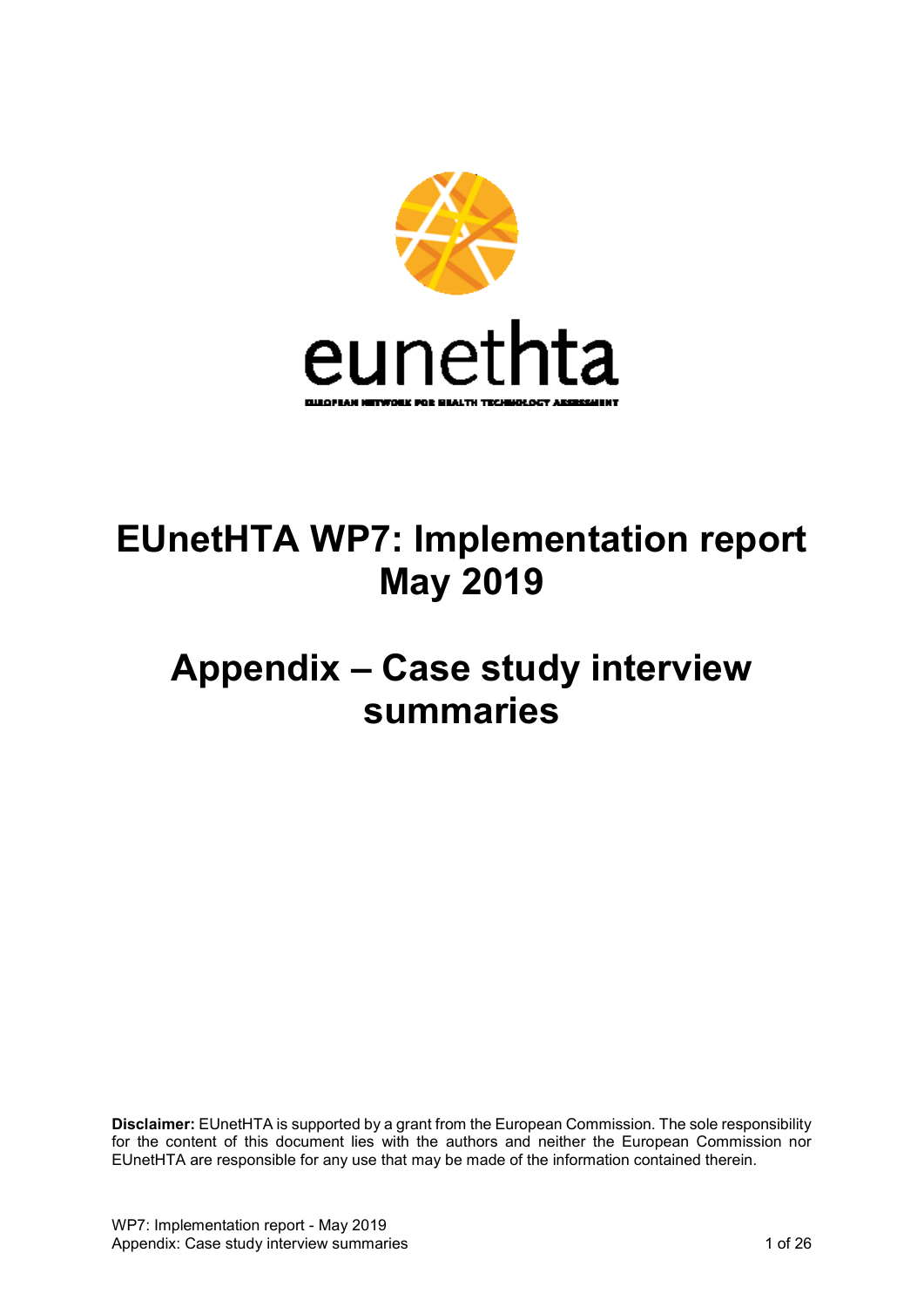

# **EUnetHTA WP7: Implementation report May 2019**

# **Appendix – Case study interview summaries**

**Disclaimer:** EUnetHTA is supported by a grant from the European Commission. The sole responsibility for the content of this document lies with the authors and neither the European Commission nor EUnetHTA are responsible for any use that may be made of the information contained therein.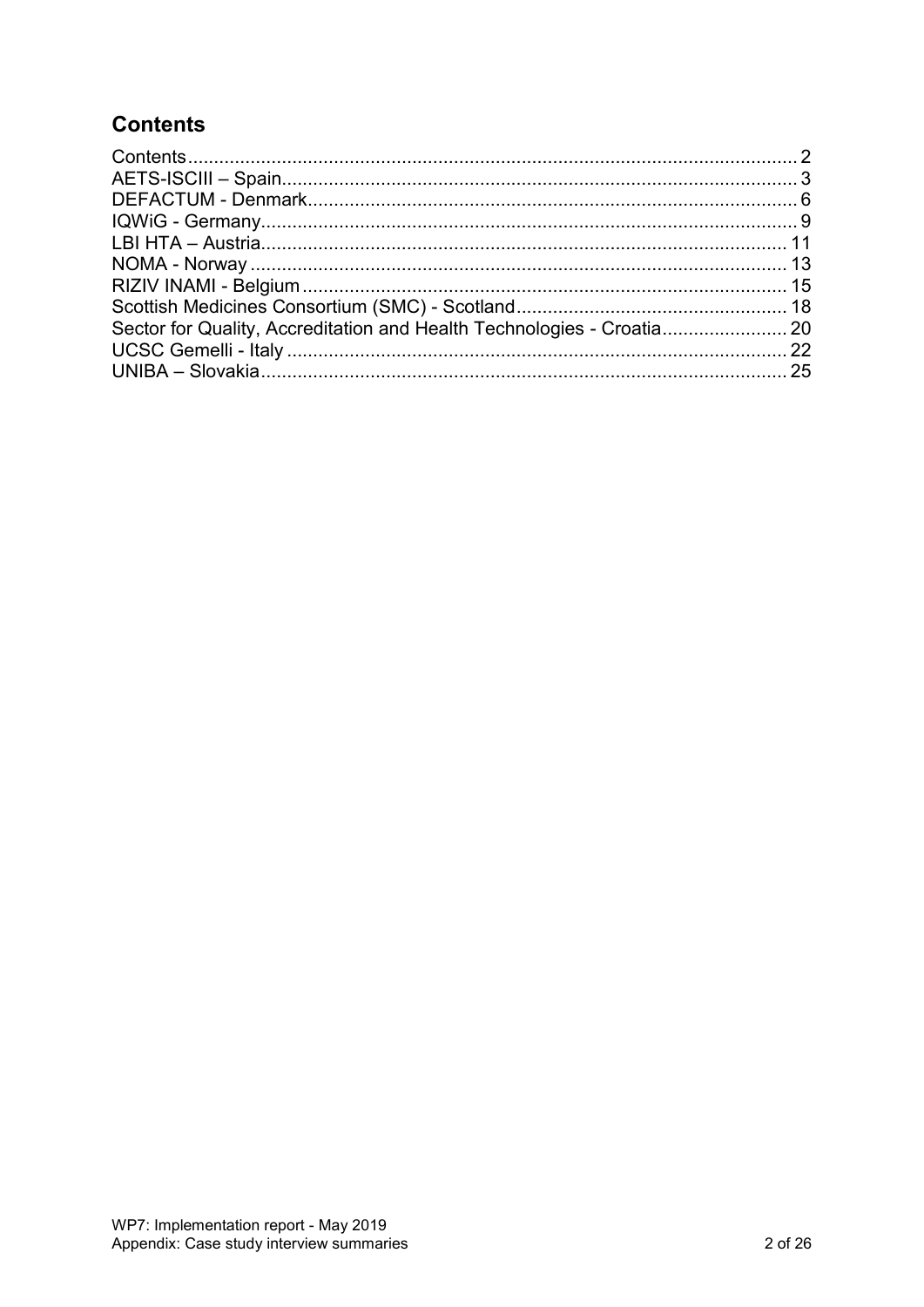# <span id="page-1-0"></span>**Contents**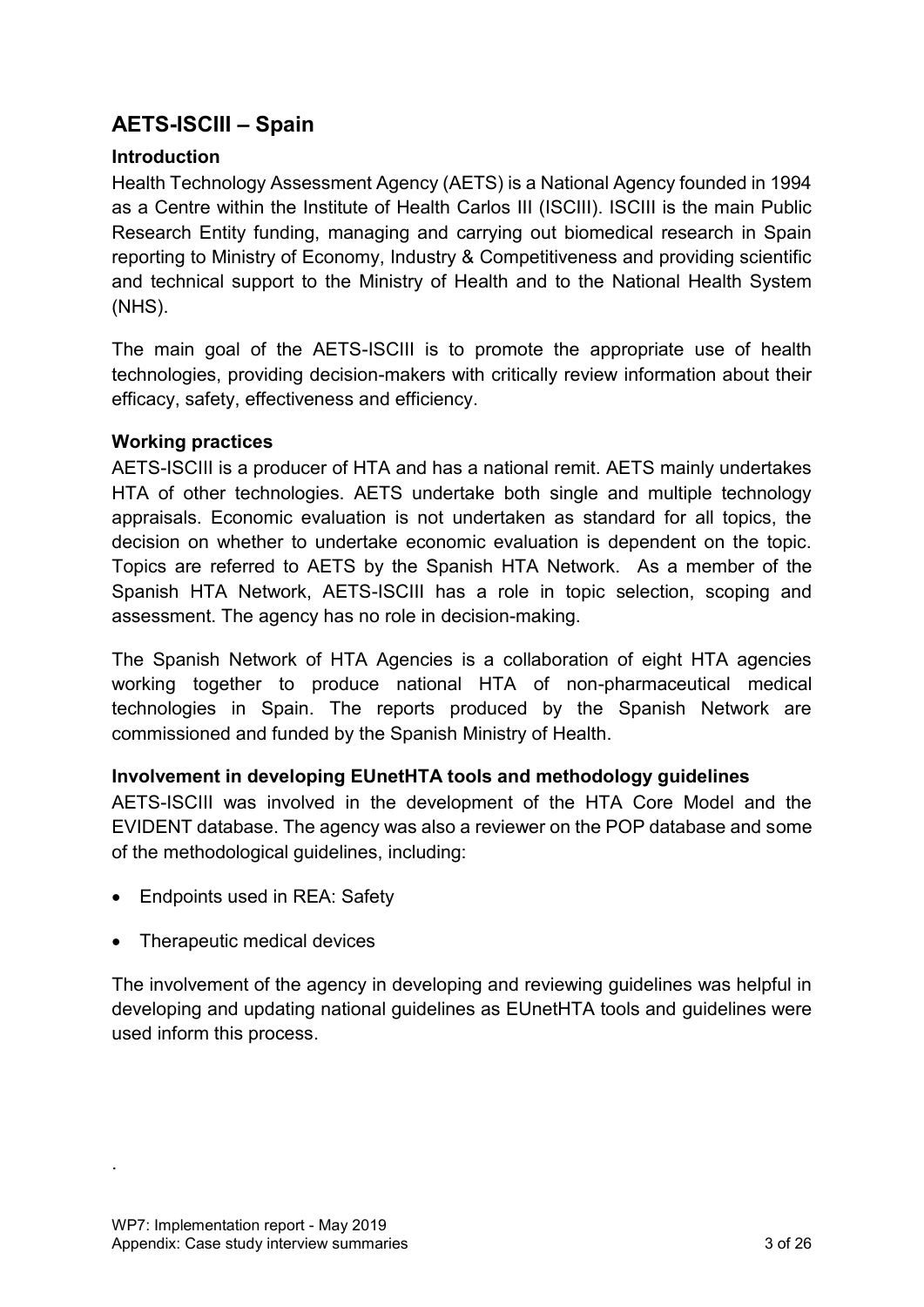# <span id="page-2-0"></span>**AETS-ISCIII – Spain**

#### **Introduction**

Health Technology Assessment Agency (AETS) is a National Agency founded in 1994 as a Centre within the Institute of Health Carlos III (ISCIII). ISCIII is the main Public Research Entity funding, managing and carrying out biomedical research in Spain reporting to Ministry of Economy, Industry & Competitiveness and providing scientific and technical support to the Ministry of Health and to the National Health System (NHS).

The main goal of the AETS-ISCIII is to promote the appropriate use of health technologies, providing decision-makers with critically review information about their efficacy, safety, effectiveness and efficiency.

## **Working practices**

AETS-ISCIII is a producer of HTA and has a national remit. AETS mainly undertakes HTA of other technologies. AETS undertake both single and multiple technology appraisals. Economic evaluation is not undertaken as standard for all topics, the decision on whether to undertake economic evaluation is dependent on the topic. Topics are referred to AETS by the Spanish HTA Network. As a member of the Spanish HTA Network, AETS-ISCIII has a role in topic selection, scoping and assessment. The agency has no role in decision-making.

The Spanish Network of HTA Agencies is a collaboration of eight HTA agencies working together to produce national HTA of non-pharmaceutical medical technologies in Spain. The reports produced by the Spanish Network are commissioned and funded by the Spanish Ministry of Health.

#### **Involvement in developing EUnetHTA tools and methodology guidelines**

AETS-ISCIII was involved in the development of the HTA Core Model and the EVIDENT database. The agency was also a reviewer on the POP database and some of the methodological guidelines, including:

- Endpoints used in REA: Safety
- Therapeutic medical devices

The involvement of the agency in developing and reviewing guidelines was helpful in developing and updating national guidelines as EUnetHTA tools and guidelines were used inform this process.

.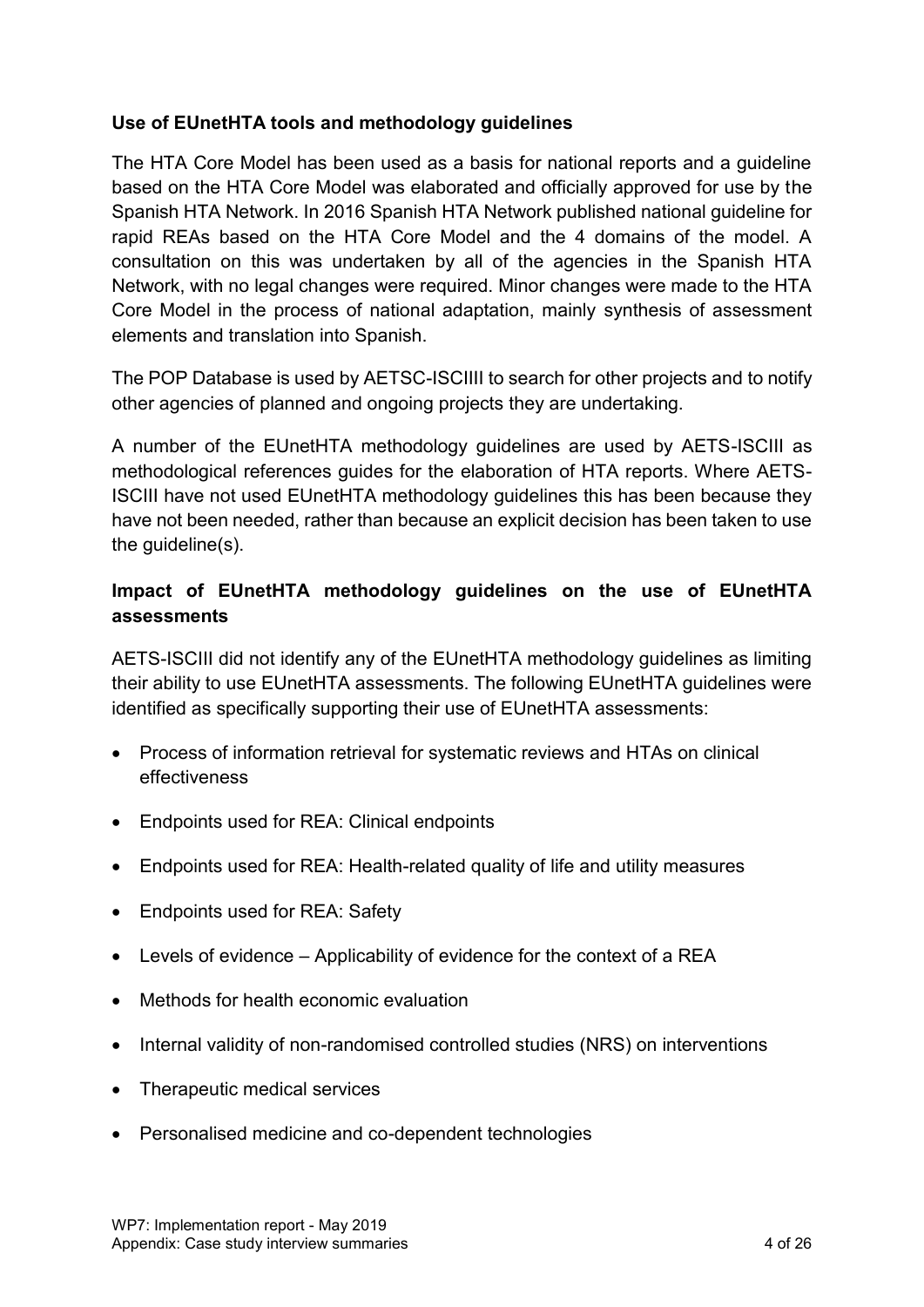#### **Use of EUnetHTA tools and methodology guidelines**

The HTA Core Model has been used as a basis for national reports and a guideline based on the HTA Core Model was elaborated and officially approved for use by the Spanish HTA Network. In 2016 Spanish HTA Network published national guideline for rapid REAs based on the HTA Core Model and the 4 domains of the model. A consultation on this was undertaken by all of the agencies in the Spanish HTA Network, with no legal changes were required. Minor changes were made to the HTA Core Model in the process of national adaptation, mainly synthesis of assessment elements and translation into Spanish.

The POP Database is used by AETSC-ISCIIII to search for other projects and to notify other agencies of planned and ongoing projects they are undertaking.

A number of the EUnetHTA methodology guidelines are used by AETS-ISCIII as methodological references guides for the elaboration of HTA reports. Where AETS-ISCIII have not used EUnetHTA methodology guidelines this has been because they have not been needed, rather than because an explicit decision has been taken to use the guideline(s).

# **Impact of EUnetHTA methodology guidelines on the use of EUnetHTA assessments**

AETS-ISCIII did not identify any of the EUnetHTA methodology guidelines as limiting their ability to use EUnetHTA assessments. The following EUnetHTA guidelines were identified as specifically supporting their use of EUnetHTA assessments:

- Process of information retrieval for systematic reviews and HTAs on clinical effectiveness
- Endpoints used for REA: Clinical endpoints
- Endpoints used for REA: Health-related quality of life and utility measures
- Endpoints used for REA: Safety
- Levels of evidence Applicability of evidence for the context of a REA
- Methods for health economic evaluation
- Internal validity of non-randomised controlled studies (NRS) on interventions
- Therapeutic medical services
- Personalised medicine and co-dependent technologies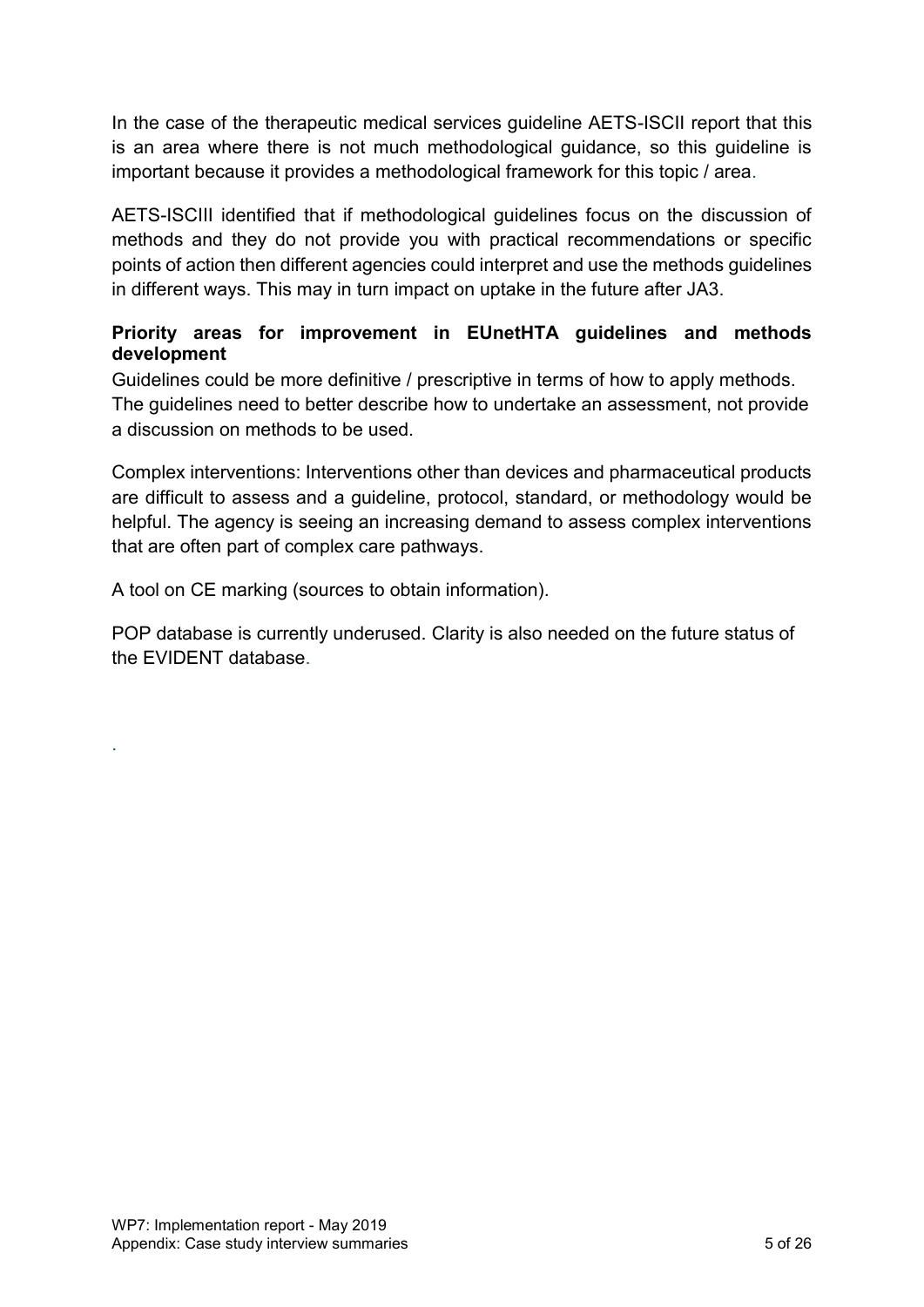In the case of the therapeutic medical services guideline AETS-ISCII report that this is an area where there is not much methodological guidance, so this guideline is important because it provides a methodological framework for this topic / area.

AETS-ISCIII identified that if methodological guidelines focus on the discussion of methods and they do not provide you with practical recommendations or specific points of action then different agencies could interpret and use the methods guidelines in different ways. This may in turn impact on uptake in the future after JA3.

#### **Priority areas for improvement in EUnetHTA guidelines and methods development**

Guidelines could be more definitive / prescriptive in terms of how to apply methods. The guidelines need to better describe how to undertake an assessment, not provide a discussion on methods to be used.

Complex interventions: Interventions other than devices and pharmaceutical products are difficult to assess and a guideline, protocol, standard, or methodology would be helpful. The agency is seeing an increasing demand to assess complex interventions that are often part of complex care pathways.

A tool on CE marking (sources to obtain information).

POP database is currently underused. Clarity is also needed on the future status of the EVIDENT database.

.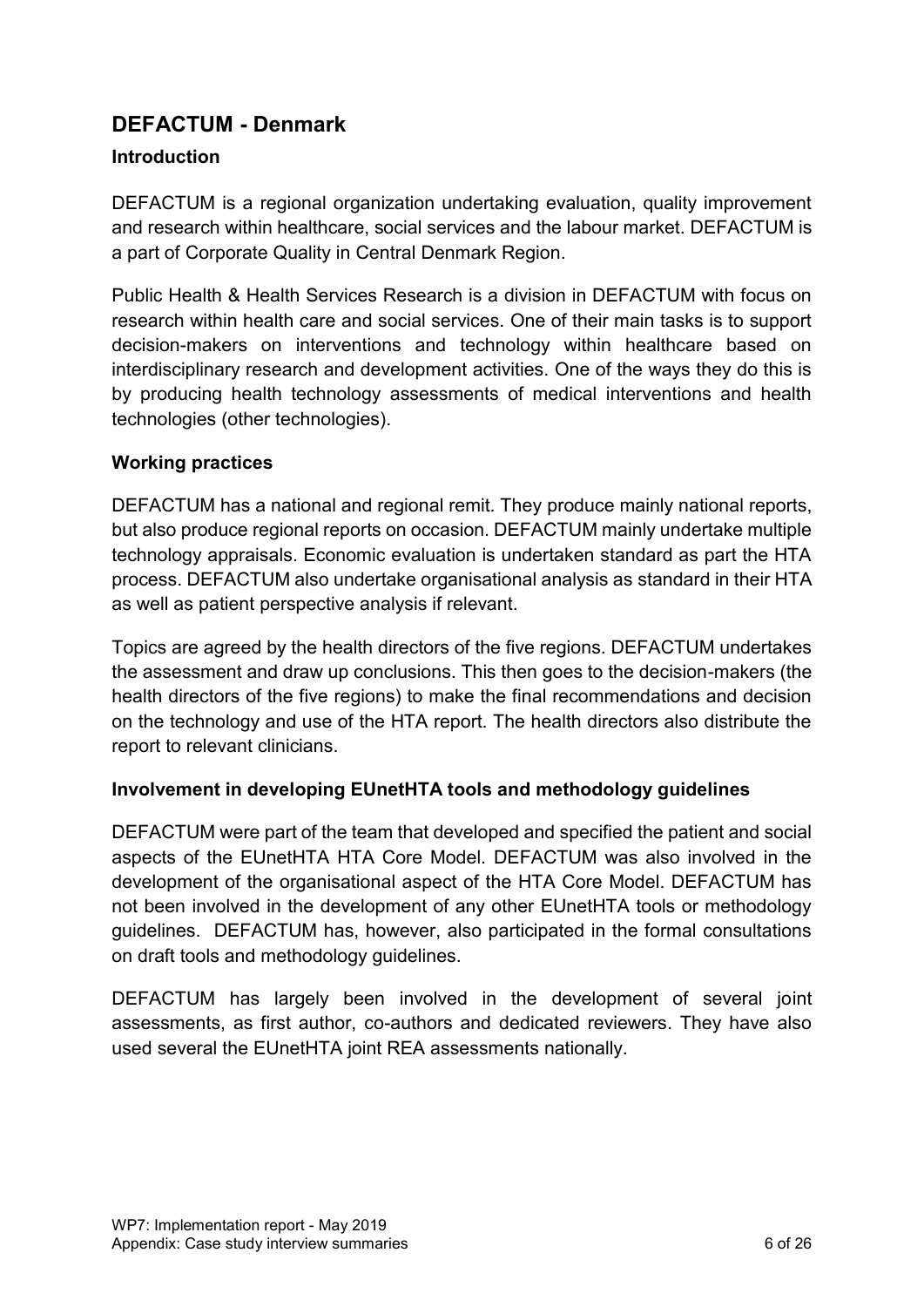# <span id="page-5-0"></span>**DEFACTUM - Denmark**

#### **Introduction**

DEFACTUM is a regional organization undertaking evaluation, quality improvement and research within healthcare, social services and the labour market. DEFACTUM is a part of Corporate Quality in Central Denmark Region.

Public Health & Health Services Research is a division in DEFACTUM with focus on research within health care and social services. One of their main tasks is to support decision-makers on interventions and technology within healthcare based on interdisciplinary research and development activities. One of the ways they do this is by producing health technology assessments of medical interventions and health technologies (other technologies).

#### **Working practices**

DEFACTUM has a national and regional remit. They produce mainly national reports, but also produce regional reports on occasion. DEFACTUM mainly undertake multiple technology appraisals. Economic evaluation is undertaken standard as part the HTA process. DEFACTUM also undertake organisational analysis as standard in their HTA as well as patient perspective analysis if relevant.

Topics are agreed by the health directors of the five regions. DEFACTUM undertakes the assessment and draw up conclusions. This then goes to the decision-makers (the health directors of the five regions) to make the final recommendations and decision on the technology and use of the HTA report. The health directors also distribute the report to relevant clinicians.

#### **Involvement in developing EUnetHTA tools and methodology guidelines**

DEFACTUM were part of the team that developed and specified the patient and social aspects of the EUnetHTA HTA Core Model. DEFACTUM was also involved in the development of the organisational aspect of the HTA Core Model. DEFACTUM has not been involved in the development of any other EUnetHTA tools or methodology guidelines. DEFACTUM has, however, also participated in the formal consultations on draft tools and methodology guidelines.

DEFACTUM has largely been involved in the development of several joint assessments, as first author, co-authors and dedicated reviewers. They have also used several the EUnetHTA joint REA assessments nationally.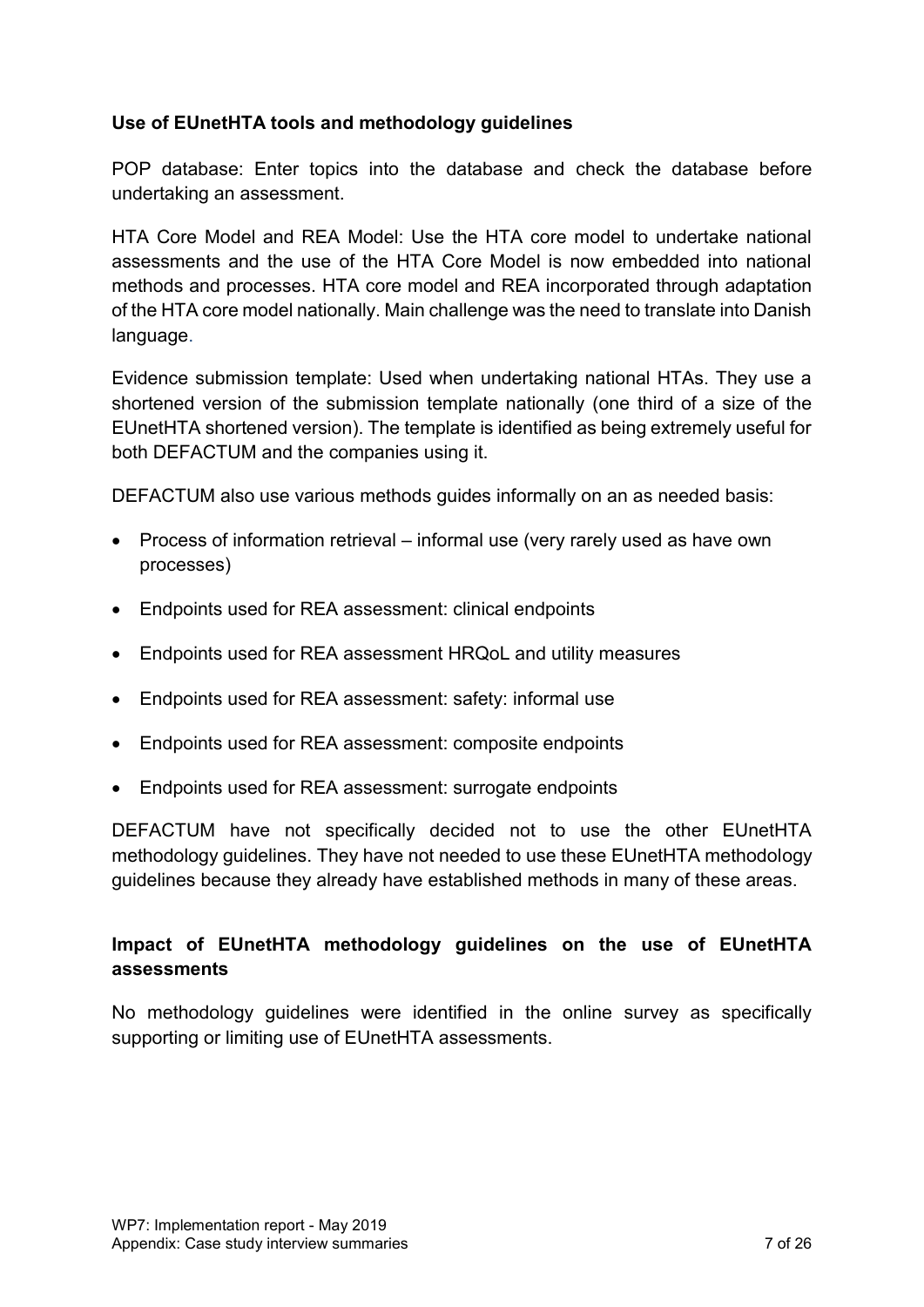#### **Use of EUnetHTA tools and methodology guidelines**

POP database: Enter topics into the database and check the database before undertaking an assessment.

HTA Core Model and REA Model: Use the HTA core model to undertake national assessments and the use of the HTA Core Model is now embedded into national methods and processes. HTA core model and REA incorporated through adaptation of the HTA core model nationally. Main challenge was the need to translate into Danish language.

Evidence submission template: Used when undertaking national HTAs. They use a shortened version of the submission template nationally (one third of a size of the EUnetHTA shortened version). The template is identified as being extremely useful for both DEFACTUM and the companies using it.

DEFACTUM also use various methods guides informally on an as needed basis:

- Process of information retrieval informal use (very rarely used as have own processes)
- Endpoints used for REA assessment: clinical endpoints
- Endpoints used for REA assessment HRQoL and utility measures
- Endpoints used for REA assessment: safety: informal use
- Endpoints used for REA assessment: composite endpoints
- Endpoints used for REA assessment: surrogate endpoints

DEFACTUM have not specifically decided not to use the other EUnetHTA methodology guidelines. They have not needed to use these EUnetHTA methodology guidelines because they already have established methods in many of these areas.

# **Impact of EUnetHTA methodology guidelines on the use of EUnetHTA assessments**

No methodology guidelines were identified in the online survey as specifically supporting or limiting use of EUnetHTA assessments.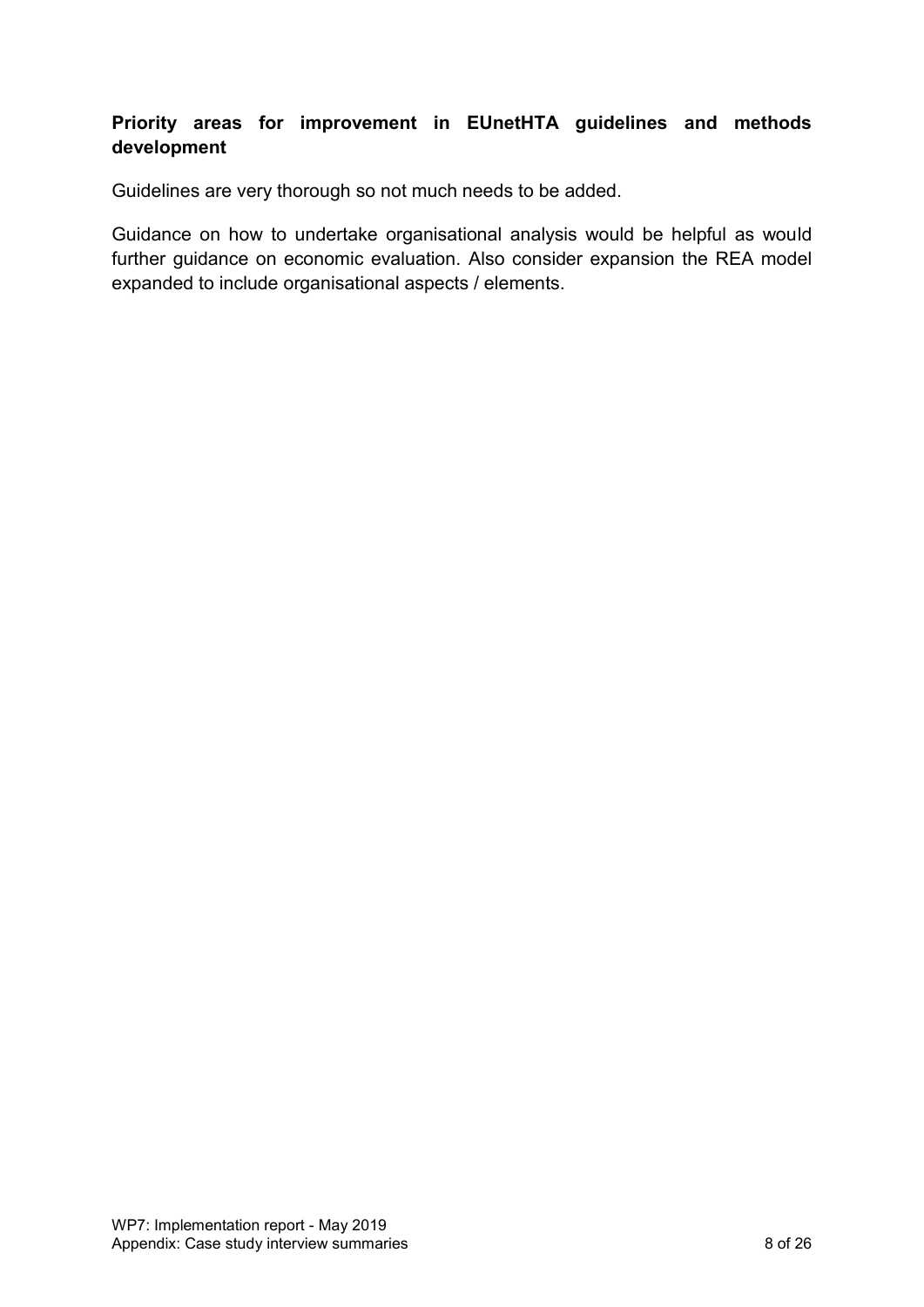### **Priority areas for improvement in EUnetHTA guidelines and methods development**

Guidelines are very thorough so not much needs to be added.

Guidance on how to undertake organisational analysis would be helpful as would further guidance on economic evaluation. Also consider expansion the REA model expanded to include organisational aspects / elements.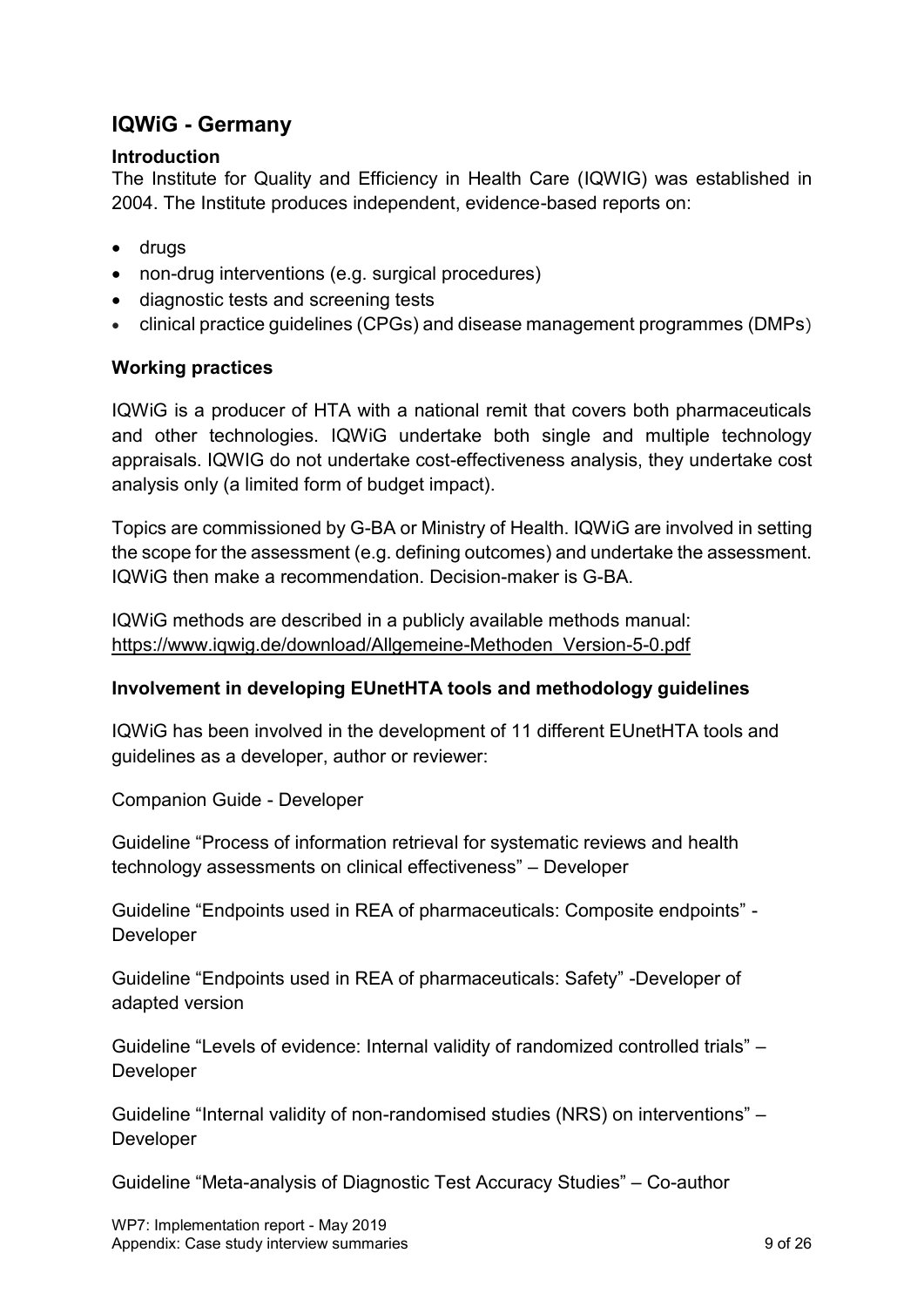# <span id="page-8-0"></span>**IQWiG - Germany**

#### **Introduction**

The Institute for Quality and Efficiency in Health Care (IQWIG) was established in 2004. The Institute produces independent, evidence-based reports on:

- drugs
- non-drug interventions (e.g. surgical procedures)
- diagnostic tests and screening tests
- clinical practice guidelines (CPGs) and disease management programmes (DMPs)

#### **Working practices**

IQWiG is a producer of HTA with a national remit that covers both pharmaceuticals and other technologies. IQWiG undertake both single and multiple technology appraisals. IQWIG do not undertake cost-effectiveness analysis, they undertake cost analysis only (a limited form of budget impact).

Topics are commissioned by G-BA or Ministry of Health. IQWiG are involved in setting the scope for the assessment (e.g. defining outcomes) and undertake the assessment. IQWiG then make a recommendation. Decision-maker is G-BA.

IQWiG methods are described in a publicly available methods manual: [https://www.iqwig.de/download/Allgemeine-Methoden\\_Version-5-0.pdf](https://www.iqwig.de/download/Allgemeine-Methoden_Version-5-0.pdf)

#### **Involvement in developing EUnetHTA tools and methodology guidelines**

IQWiG has been involved in the development of 11 different EUnetHTA tools and guidelines as a developer, author or reviewer:

Companion Guide - Developer

Guideline "Process of information retrieval for systematic reviews and health technology assessments on clinical effectiveness" – Developer

Guideline "Endpoints used in REA of pharmaceuticals: Composite endpoints" - Developer

Guideline "Endpoints used in REA of pharmaceuticals: Safety" -Developer of adapted version

Guideline "Levels of evidence: Internal validity of randomized controlled trials" – Developer

Guideline "Internal validity of non-randomised studies (NRS) on interventions" – Developer

Guideline "Meta-analysis of Diagnostic Test Accuracy Studies" – Co-author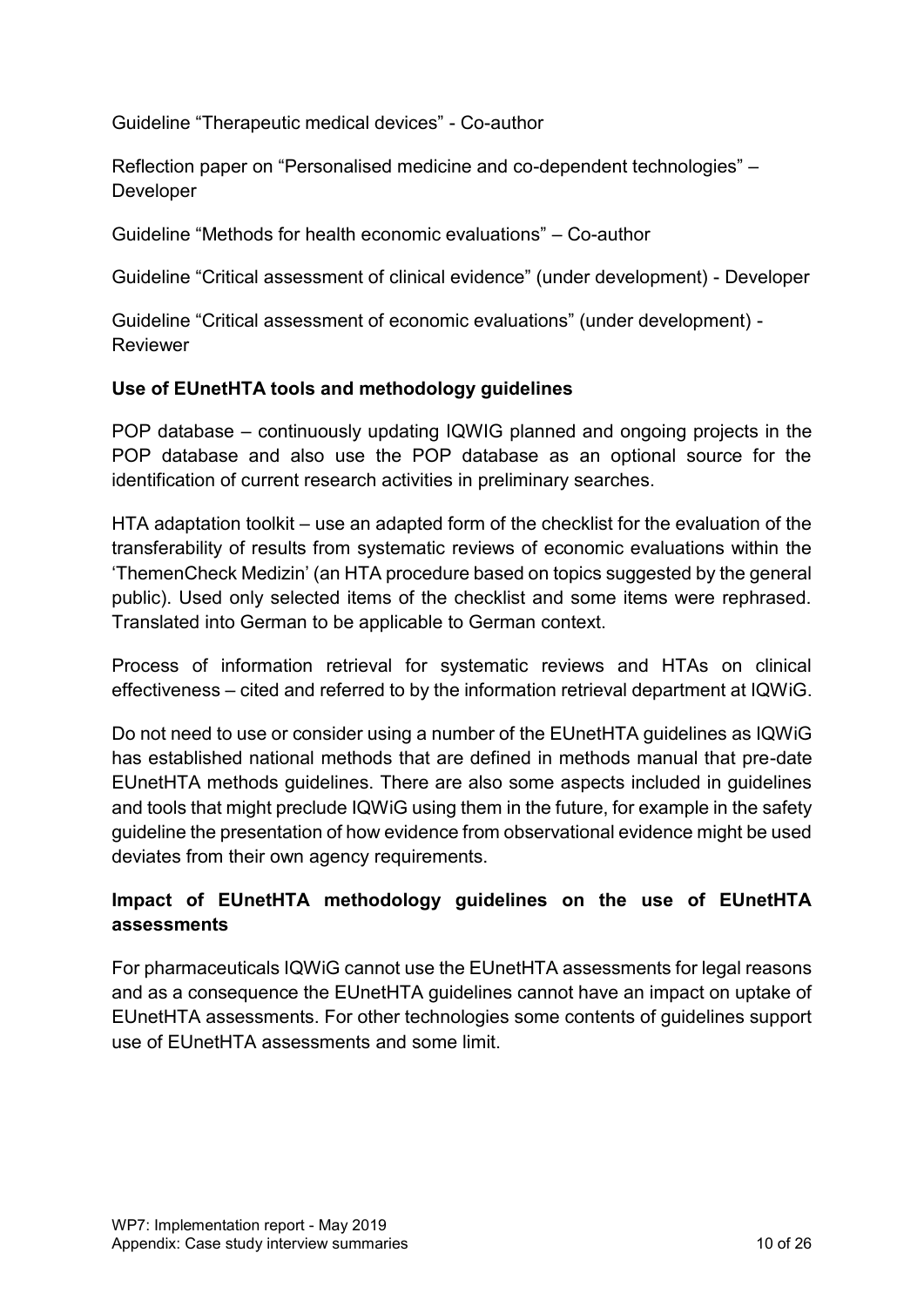Guideline "Therapeutic medical devices" - Co-author

Reflection paper on "Personalised medicine and co-dependent technologies" – Developer

Guideline "Methods for health economic evaluations" – Co-author

Guideline "Critical assessment of clinical evidence" (under development) - Developer

Guideline "Critical assessment of economic evaluations" (under development) - **Reviewer** 

#### **Use of EUnetHTA tools and methodology guidelines**

POP database – continuously updating IQWIG planned and ongoing projects in the POP database and also use the POP database as an optional source for the identification of current research activities in preliminary searches.

HTA adaptation toolkit – use an adapted form of the checklist for the evaluation of the transferability of results from systematic reviews of economic evaluations within the 'ThemenCheck Medizin' (an HTA procedure based on topics suggested by the general public). Used only selected items of the checklist and some items were rephrased. Translated into German to be applicable to German context.

Process of information retrieval for systematic reviews and HTAs on clinical effectiveness – cited and referred to by the information retrieval department at IQWiG.

Do not need to use or consider using a number of the EUnetHTA guidelines as IQWiG has established national methods that are defined in methods manual that pre-date EUnetHTA methods guidelines. There are also some aspects included in guidelines and tools that might preclude IQWiG using them in the future, for example in the safety guideline the presentation of how evidence from observational evidence might be used deviates from their own agency requirements.

# **Impact of EUnetHTA methodology guidelines on the use of EUnetHTA assessments**

For pharmaceuticals IQWiG cannot use the EUnetHTA assessments for legal reasons and as a consequence the EUnetHTA guidelines cannot have an impact on uptake of EUnetHTA assessments. For other technologies some contents of guidelines support use of EUnetHTA assessments and some limit.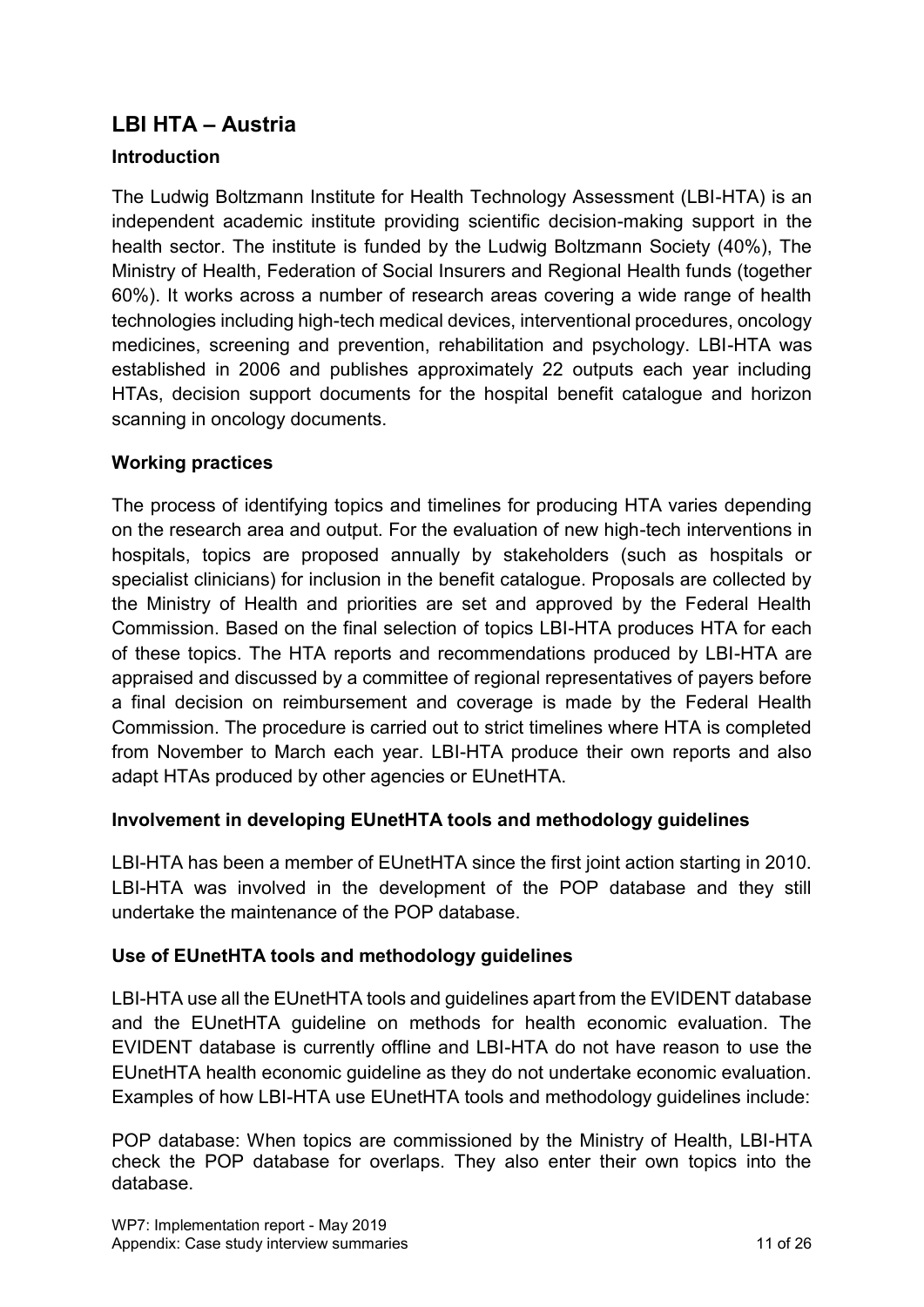# <span id="page-10-0"></span>**LBI HTA – Austria**

# **Introduction**

The Ludwig Boltzmann Institute for Health Technology Assessment (LBI-HTA) is an independent academic institute providing scientific decision-making support in the health sector. The institute is funded by the Ludwig Boltzmann Society (40%), The Ministry of Health, Federation of Social Insurers and Regional Health funds (together 60%). It works across a number of research areas covering a wide range of health technologies including high-tech medical devices, interventional procedures, oncology medicines, screening and prevention, rehabilitation and psychology. LBI-HTA was established in 2006 and publishes approximately 22 outputs each year including HTAs, decision support documents for the hospital benefit catalogue and horizon scanning in oncology documents.

## **Working practices**

The process of identifying topics and timelines for producing HTA varies depending on the research area and output. For the evaluation of new high-tech interventions in hospitals, topics are proposed annually by stakeholders (such as hospitals or specialist clinicians) for inclusion in the benefit catalogue. Proposals are collected by the Ministry of Health and priorities are set and approved by the Federal Health Commission. Based on the final selection of topics LBI-HTA produces HTA for each of these topics. The HTA reports and recommendations produced by LBI-HTA are appraised and discussed by a committee of regional representatives of payers before a final decision on reimbursement and coverage is made by the Federal Health Commission. The procedure is carried out to strict timelines where HTA is completed from November to March each year. LBI-HTA produce their own reports and also adapt HTAs produced by other agencies or EUnetHTA.

#### **Involvement in developing EUnetHTA tools and methodology guidelines**

LBI-HTA has been a member of EUnetHTA since the first joint action starting in 2010. LBI-HTA was involved in the development of the POP database and they still undertake the maintenance of the POP database.

#### **Use of EUnetHTA tools and methodology guidelines**

LBI-HTA use all the EUnetHTA tools and guidelines apart from the EVIDENT database and the EUnetHTA guideline on methods for health economic evaluation. The EVIDENT database is currently offline and LBI-HTA do not have reason to use the EUnetHTA health economic guideline as they do not undertake economic evaluation. Examples of how LBI-HTA use EUnetHTA tools and methodology guidelines include:

POP database: When topics are commissioned by the Ministry of Health, LBI-HTA check the POP database for overlaps. They also enter their own topics into the database.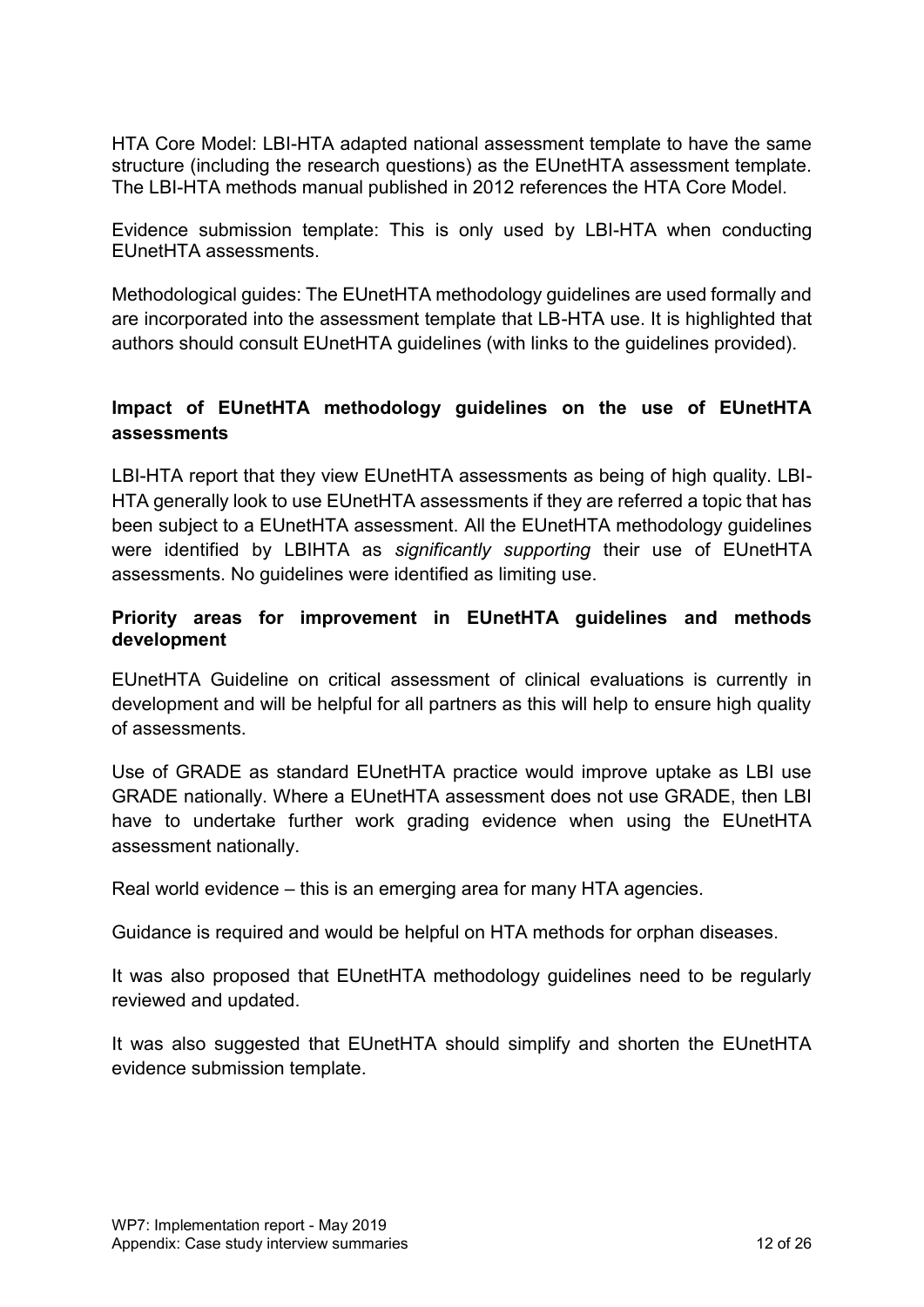HTA Core Model: LBI-HTA adapted national assessment template to have the same structure (including the research questions) as the EUnetHTA assessment template. The LBI-HTA methods manual published in 2012 references the HTA Core Model.

Evidence submission template: This is only used by LBI-HTA when conducting EUnetHTA assessments.

Methodological guides: The EUnetHTA methodology guidelines are used formally and are incorporated into the assessment template that LB-HTA use. It is highlighted that authors should consult EUnetHTA guidelines (with links to the guidelines provided).

## **Impact of EUnetHTA methodology guidelines on the use of EUnetHTA assessments**

LBI-HTA report that they view EUnetHTA assessments as being of high quality. LBI-HTA generally look to use EUnetHTA assessments if they are referred a topic that has been subject to a EUnetHTA assessment. All the EUnetHTA methodology guidelines were identified by LBIHTA as *significantly supporting* their use of EUnetHTA assessments. No guidelines were identified as limiting use.

#### **Priority areas for improvement in EUnetHTA guidelines and methods development**

EUnetHTA Guideline on critical assessment of clinical evaluations is currently in development and will be helpful for all partners as this will help to ensure high quality of assessments.

Use of GRADE as standard EUnetHTA practice would improve uptake as LBI use GRADE nationally. Where a EUnetHTA assessment does not use GRADE, then LBI have to undertake further work grading evidence when using the EUnetHTA assessment nationally.

Real world evidence – this is an emerging area for many HTA agencies.

Guidance is required and would be helpful on HTA methods for orphan diseases.

It was also proposed that EUnetHTA methodology guidelines need to be regularly reviewed and updated.

It was also suggested that EUnetHTA should simplify and shorten the EUnetHTA evidence submission template.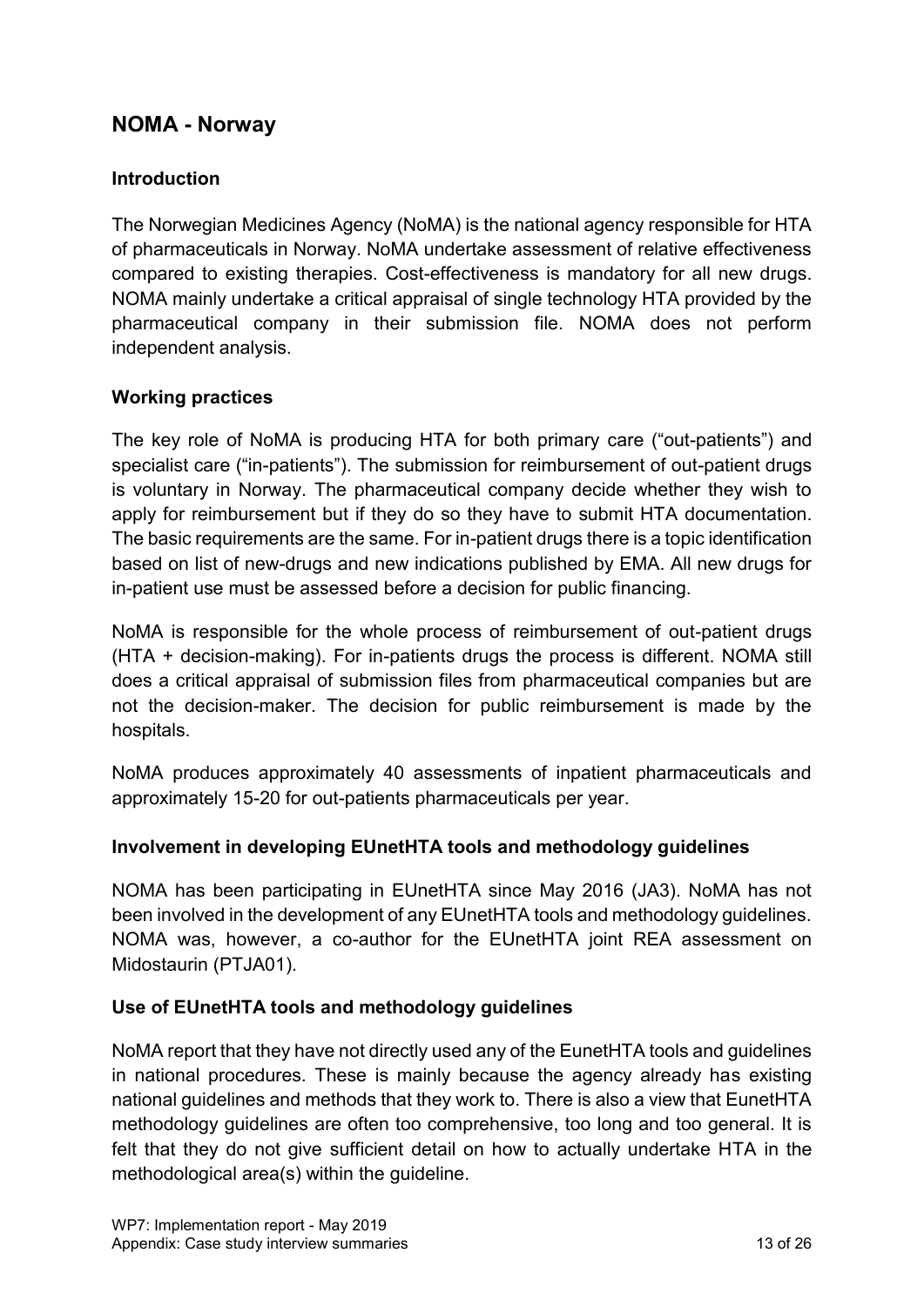# <span id="page-12-0"></span>**NOMA - Norway**

#### **Introduction**

The Norwegian Medicines Agency (NoMA) is the national agency responsible for HTA of pharmaceuticals in Norway. NoMA undertake assessment of relative effectiveness compared to existing therapies. Cost-effectiveness is mandatory for all new drugs. NOMA mainly undertake a critical appraisal of single technology HTA provided by the pharmaceutical company in their submission file. NOMA does not perform independent analysis.

#### **Working practices**

The key role of NoMA is producing HTA for both primary care ("out-patients") and specialist care ("in-patients"). The submission for reimbursement of out-patient drugs is voluntary in Norway. The pharmaceutical company decide whether they wish to apply for reimbursement but if they do so they have to submit HTA documentation. The basic requirements are the same. For in-patient drugs there is a topic identification based on list of new-drugs and new indications published by EMA. All new drugs for in-patient use must be assessed before a decision for public financing.

NoMA is responsible for the whole process of reimbursement of out-patient drugs (HTA + decision-making). For in-patients drugs the process is different. NOMA still does a critical appraisal of submission files from pharmaceutical companies but are not the decision-maker. The decision for public reimbursement is made by the hospitals.

NoMA produces approximately 40 assessments of inpatient pharmaceuticals and approximately 15-20 for out-patients pharmaceuticals per year.

#### **Involvement in developing EUnetHTA tools and methodology guidelines**

NOMA has been participating in EUnetHTA since May 2016 (JA3). NoMA has not been involved in the development of any EUnetHTA tools and methodology guidelines. NOMA was, however, a co-author for the EUnetHTA joint REA assessment on Midostaurin (PTJA01).

#### **Use of EUnetHTA tools and methodology guidelines**

NoMA report that they have not directly used any of the EunetHTA tools and guidelines in national procedures. These is mainly because the agency already has existing national guidelines and methods that they work to. There is also a view that EunetHTA methodology guidelines are often too comprehensive, too long and too general. It is felt that they do not give sufficient detail on how to actually undertake HTA in the methodological area(s) within the guideline.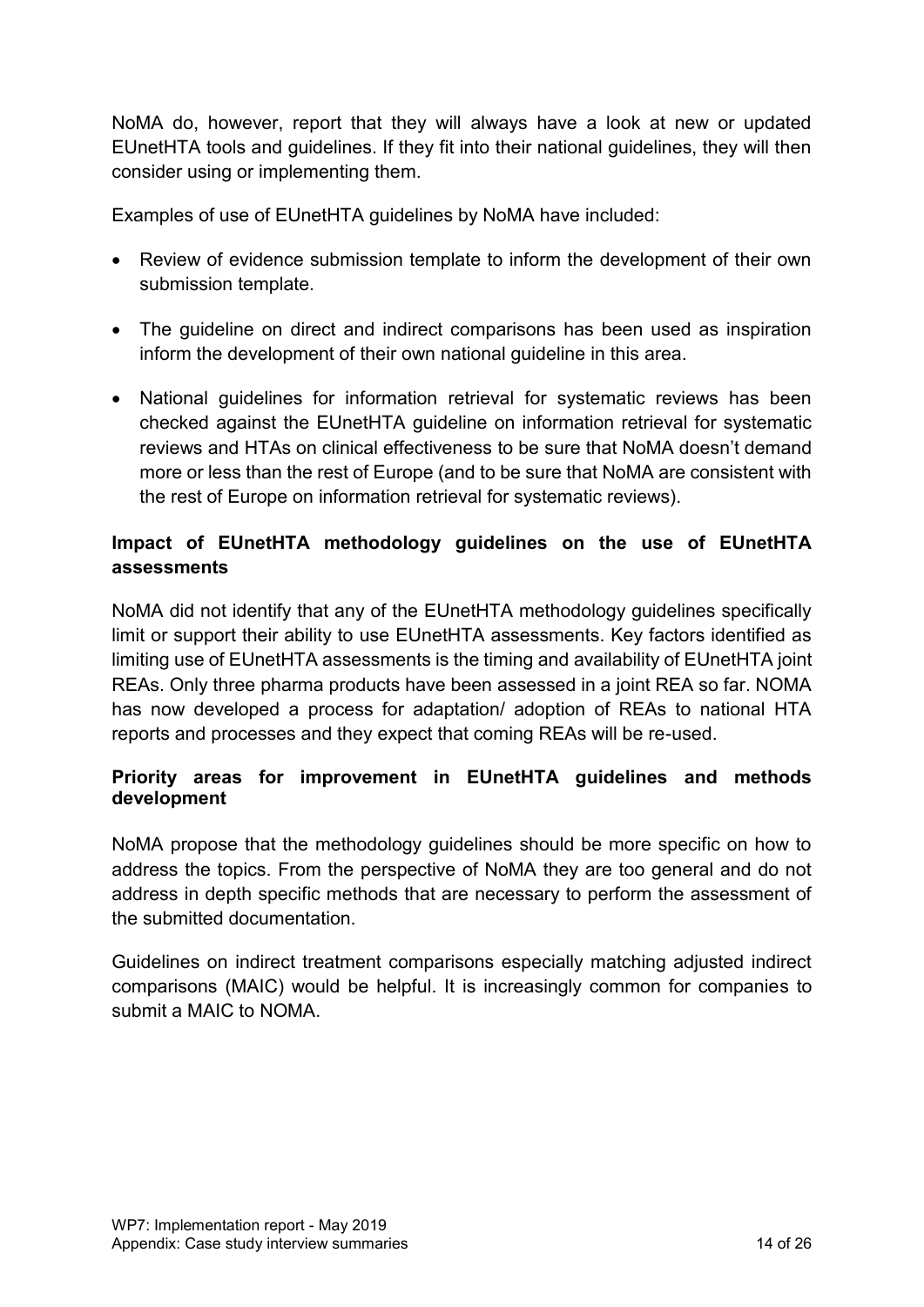NoMA do, however, report that they will always have a look at new or updated EUnetHTA tools and guidelines. If they fit into their national guidelines, they will then consider using or implementing them.

Examples of use of EUnetHTA guidelines by NoMA have included:

- Review of evidence submission template to inform the development of their own submission template.
- The guideline on direct and indirect comparisons has been used as inspiration inform the development of their own national guideline in this area.
- National guidelines for information retrieval for systematic reviews has been checked against the EUnetHTA guideline on information retrieval for systematic reviews and HTAs on clinical effectiveness to be sure that NoMA doesn't demand more or less than the rest of Europe (and to be sure that NoMA are consistent with the rest of Europe on information retrieval for systematic reviews).

# **Impact of EUnetHTA methodology guidelines on the use of EUnetHTA assessments**

NoMA did not identify that any of the EUnetHTA methodology guidelines specifically limit or support their ability to use EUnetHTA assessments. Key factors identified as limiting use of EUnetHTA assessments is the timing and availability of EUnetHTA joint REAs. Only three pharma products have been assessed in a joint REA so far. NOMA has now developed a process for adaptation/ adoption of REAs to national HTA reports and processes and they expect that coming REAs will be re-used.

## **Priority areas for improvement in EUnetHTA guidelines and methods development**

NoMA propose that the methodology guidelines should be more specific on how to address the topics. From the perspective of NoMA they are too general and do not address in depth specific methods that are necessary to perform the assessment of the submitted documentation*.*

Guidelines on indirect treatment comparisons especially matching adjusted indirect comparisons (MAIC) would be helpful. It is increasingly common for companies to submit a MAIC to NOMA.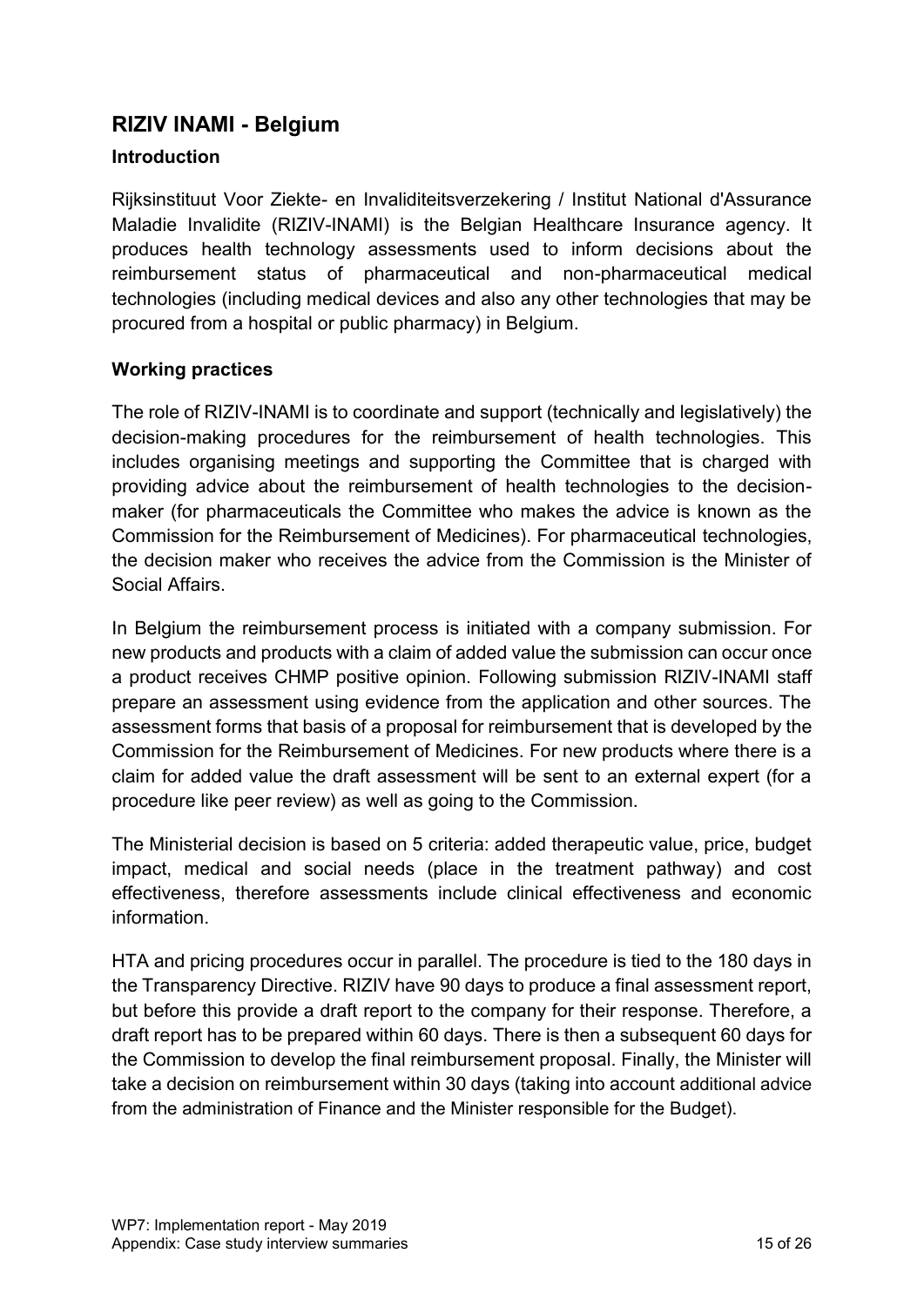# <span id="page-14-0"></span>**RIZIV INAMI - Belgium**

#### **Introduction**

Rijksinstituut Voor Ziekte- en Invaliditeitsverzekering / Institut National d'Assurance Maladie Invalidite (RIZIV-INAMI) is the Belgian Healthcare Insurance agency. It produces health technology assessments used to inform decisions about the reimbursement status of pharmaceutical and non-pharmaceutical medical technologies (including medical devices and also any other technologies that may be procured from a hospital or public pharmacy) in Belgium.

#### **Working practices**

The role of RIZIV-INAMI is to coordinate and support (technically and legislatively) the decision-making procedures for the reimbursement of health technologies. This includes organising meetings and supporting the Committee that is charged with providing advice about the reimbursement of health technologies to the decisionmaker (for pharmaceuticals the Committee who makes the advice is known as the Commission for the Reimbursement of Medicines). For pharmaceutical technologies, the decision maker who receives the advice from the Commission is the Minister of Social Affairs.

In Belgium the reimbursement process is initiated with a company submission. For new products and products with a claim of added value the submission can occur once a product receives CHMP positive opinion. Following submission RIZIV-INAMI staff prepare an assessment using evidence from the application and other sources. The assessment forms that basis of a proposal for reimbursement that is developed by the Commission for the Reimbursement of Medicines. For new products where there is a claim for added value the draft assessment will be sent to an external expert (for a procedure like peer review) as well as going to the Commission.

The Ministerial decision is based on 5 criteria: added therapeutic value, price, budget impact, medical and social needs (place in the treatment pathway) and cost effectiveness, therefore assessments include clinical effectiveness and economic information.

HTA and pricing procedures occur in parallel. The procedure is tied to the 180 days in the Transparency Directive. RIZIV have 90 days to produce a final assessment report, but before this provide a draft report to the company for their response. Therefore, a draft report has to be prepared within 60 days. There is then a subsequent 60 days for the Commission to develop the final reimbursement proposal. Finally, the Minister will take a decision on reimbursement within 30 days (taking into account additional advice from the administration of Finance and the Minister responsible for the Budget).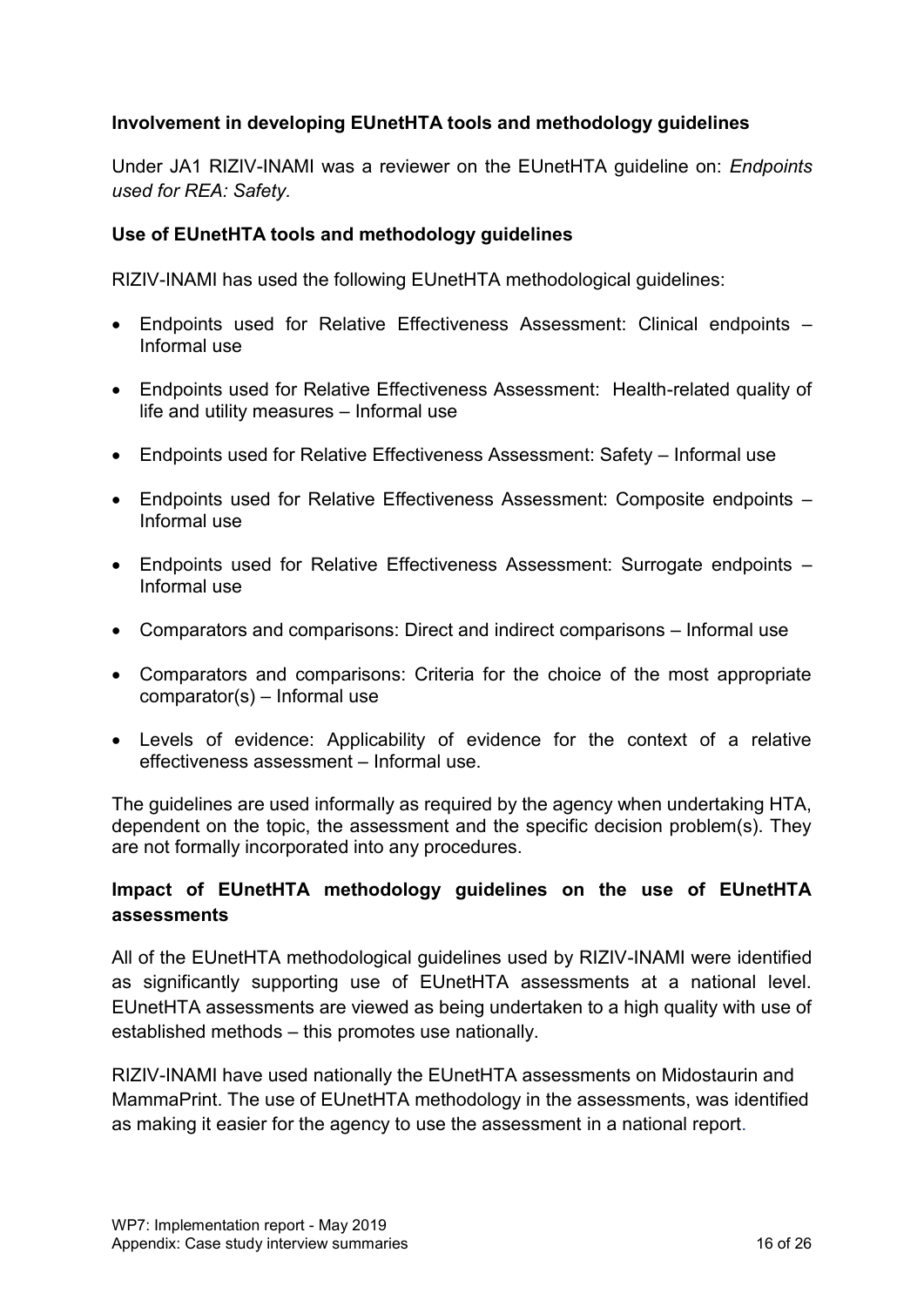#### **Involvement in developing EUnetHTA tools and methodology guidelines**

Under JA1 RIZIV-INAMI was a reviewer on the EUnetHTA guideline on: *Endpoints used for REA: Safety.*

#### **Use of EUnetHTA tools and methodology guidelines**

RIZIV-INAMI has used the following EUnetHTA methodological guidelines:

- Endpoints used for Relative Effectiveness Assessment: Clinical endpoints Informal use
- Endpoints used for Relative Effectiveness Assessment: Health-related quality of life and utility measures – Informal use
- Endpoints used for Relative Effectiveness Assessment: Safety Informal use
- Endpoints used for Relative Effectiveness Assessment: Composite endpoints Informal use
- Endpoints used for Relative Effectiveness Assessment: Surrogate endpoints Informal use
- Comparators and comparisons: Direct and indirect comparisons Informal use
- Comparators and comparisons: Criteria for the choice of the most appropriate comparator(s) – Informal use
- Levels of evidence: Applicability of evidence for the context of a relative effectiveness assessment – Informal use.

The guidelines are used informally as required by the agency when undertaking HTA, dependent on the topic, the assessment and the specific decision problem(s). They are not formally incorporated into any procedures.

#### **Impact of EUnetHTA methodology guidelines on the use of EUnetHTA assessments**

All of the EUnetHTA methodological guidelines used by RIZIV-INAMI were identified as significantly supporting use of EUnetHTA assessments at a national level. EUnetHTA assessments are viewed as being undertaken to a high quality with use of established methods – this promotes use nationally.

RIZIV-INAMI have used nationally the EUnetHTA assessments on Midostaurin and MammaPrint. The use of EUnetHTA methodology in the assessments, was identified as making it easier for the agency to use the assessment in a national report.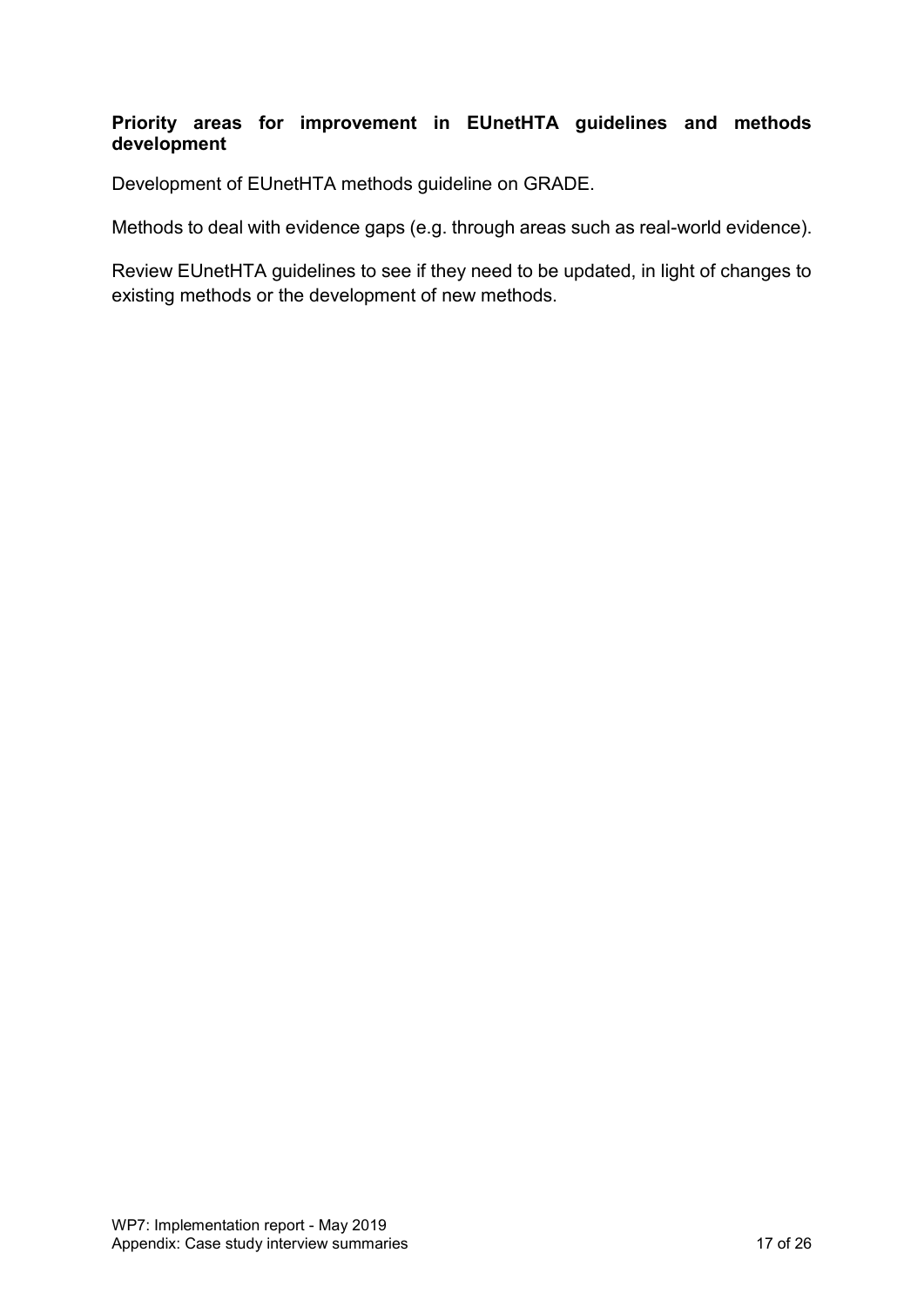#### **Priority areas for improvement in EUnetHTA guidelines and methods development**

Development of EUnetHTA methods guideline on GRADE.

Methods to deal with evidence gaps (e.g. through areas such as real-world evidence).

Review EUnetHTA guidelines to see if they need to be updated, in light of changes to existing methods or the development of new methods.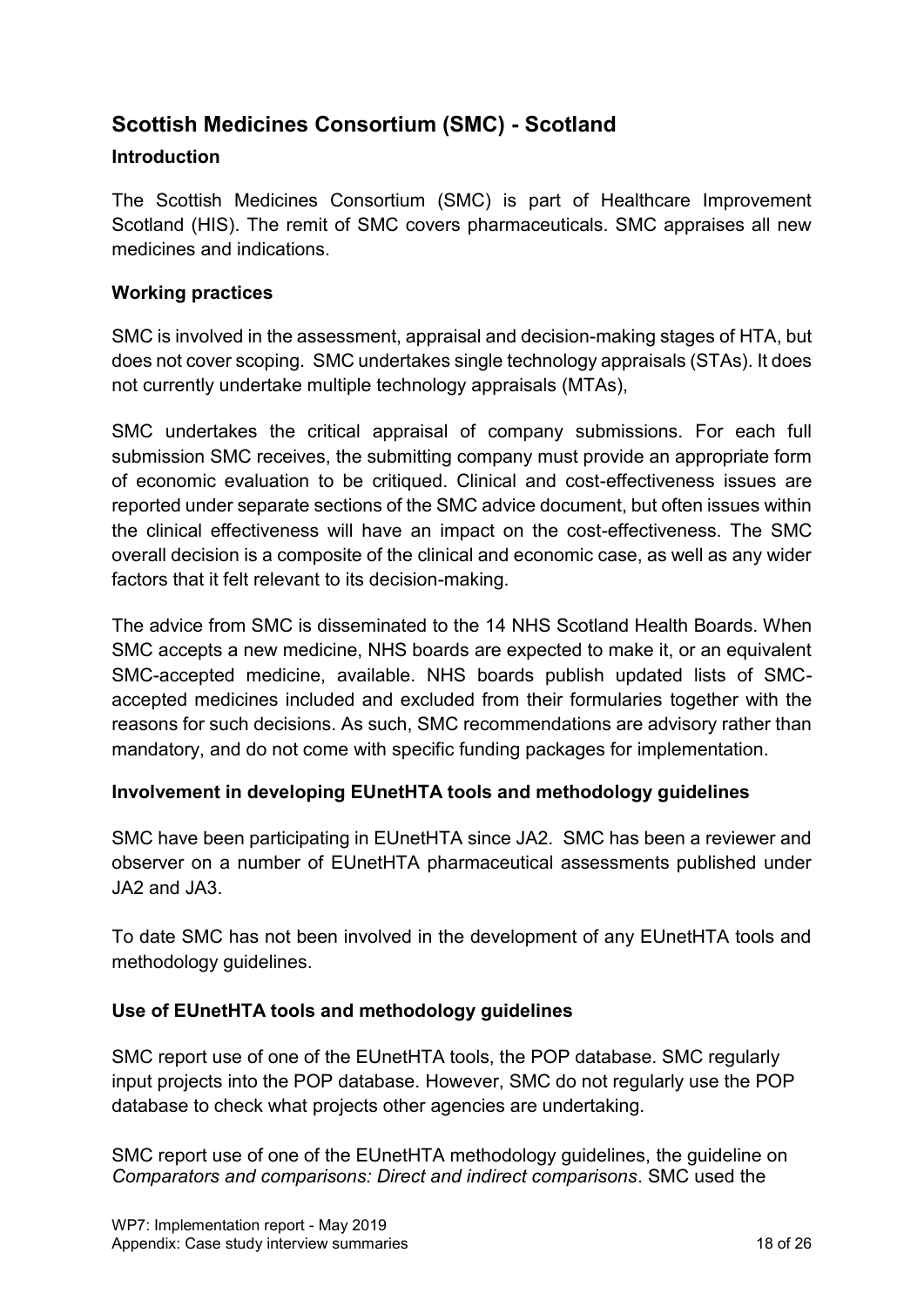# <span id="page-17-0"></span>**Scottish Medicines Consortium (SMC) - Scotland**

#### **Introduction**

The Scottish Medicines Consortium (SMC) is part of Healthcare Improvement Scotland (HIS). The remit of SMC covers pharmaceuticals. SMC appraises all new medicines and indications.

#### **Working practices**

SMC is involved in the assessment, appraisal and decision-making stages of HTA, but does not cover scoping. SMC undertakes single technology appraisals (STAs). It does not currently undertake multiple technology appraisals (MTAs),

SMC undertakes the critical appraisal of company submissions. For each full submission SMC receives, the submitting company must provide an appropriate form of economic evaluation to be critiqued. Clinical and cost-effectiveness issues are reported under separate sections of the SMC advice document, but often issues within the clinical effectiveness will have an impact on the cost-effectiveness. The SMC overall decision is a composite of the clinical and economic case, as well as any wider factors that it felt relevant to its decision-making.

The advice from SMC is disseminated to the 14 NHS Scotland Health Boards. When SMC accepts a new medicine, NHS boards are expected to make it, or an equivalent SMC-accepted medicine, available. NHS boards publish updated lists of SMCaccepted medicines included and excluded from their formularies together with the reasons for such decisions. As such, SMC recommendations are advisory rather than mandatory, and do not come with specific funding packages for implementation.

#### **Involvement in developing EUnetHTA tools and methodology guidelines**

SMC have been participating in EUnetHTA since JA2. SMC has been a reviewer and observer on a number of EUnetHTA pharmaceutical assessments published under JA2 and JA3.

To date SMC has not been involved in the development of any EUnetHTA tools and methodology guidelines.

# **Use of EUnetHTA tools and methodology guidelines**

SMC report use of one of the EUnetHTA tools, the POP database. SMC regularly input projects into the POP database. However, SMC do not regularly use the POP database to check what projects other agencies are undertaking.

SMC report use of one of the EUnetHTA methodology guidelines, the guideline on *Comparators and comparisons: Direct and indirect comparisons*. SMC used the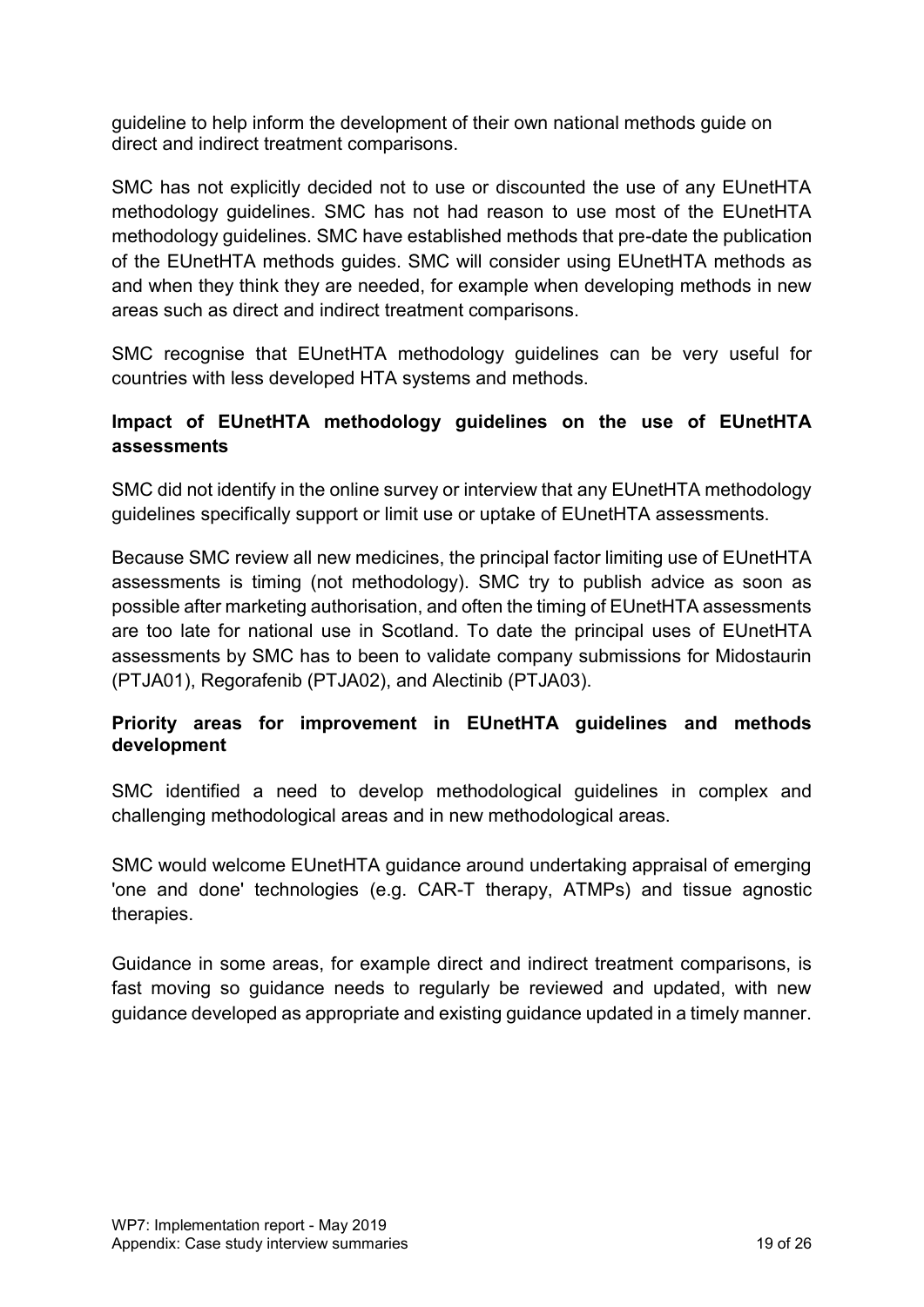guideline to help inform the development of their own national methods guide on direct and indirect treatment comparisons.

SMC has not explicitly decided not to use or discounted the use of any EUnetHTA methodology guidelines. SMC has not had reason to use most of the EUnetHTA methodology guidelines. SMC have established methods that pre-date the publication of the EUnetHTA methods guides. SMC will consider using EUnetHTA methods as and when they think they are needed, for example when developing methods in new areas such as direct and indirect treatment comparisons.

SMC recognise that EUnetHTA methodology guidelines can be very useful for countries with less developed HTA systems and methods.

# **Impact of EUnetHTA methodology guidelines on the use of EUnetHTA assessments**

SMC did not identify in the online survey or interview that any EUnetHTA methodology guidelines specifically support or limit use or uptake of EUnetHTA assessments.

Because SMC review all new medicines, the principal factor limiting use of EUnetHTA assessments is timing (not methodology). SMC try to publish advice as soon as possible after marketing authorisation, and often the timing of EUnetHTA assessments are too late for national use in Scotland. To date the principal uses of EUnetHTA assessments by SMC has to been to validate company submissions for Midostaurin (PTJA01), Regorafenib (PTJA02), and Alectinib (PTJA03).

## **Priority areas for improvement in EUnetHTA guidelines and methods development**

SMC identified a need to develop methodological guidelines in complex and challenging methodological areas and in new methodological areas.

SMC would welcome EUnetHTA guidance around undertaking appraisal of emerging 'one and done' technologies (e.g. CAR-T therapy, ATMPs) and tissue agnostic therapies.

Guidance in some areas, for example direct and indirect treatment comparisons, is fast moving so guidance needs to regularly be reviewed and updated, with new guidance developed as appropriate and existing guidance updated in a timely manner.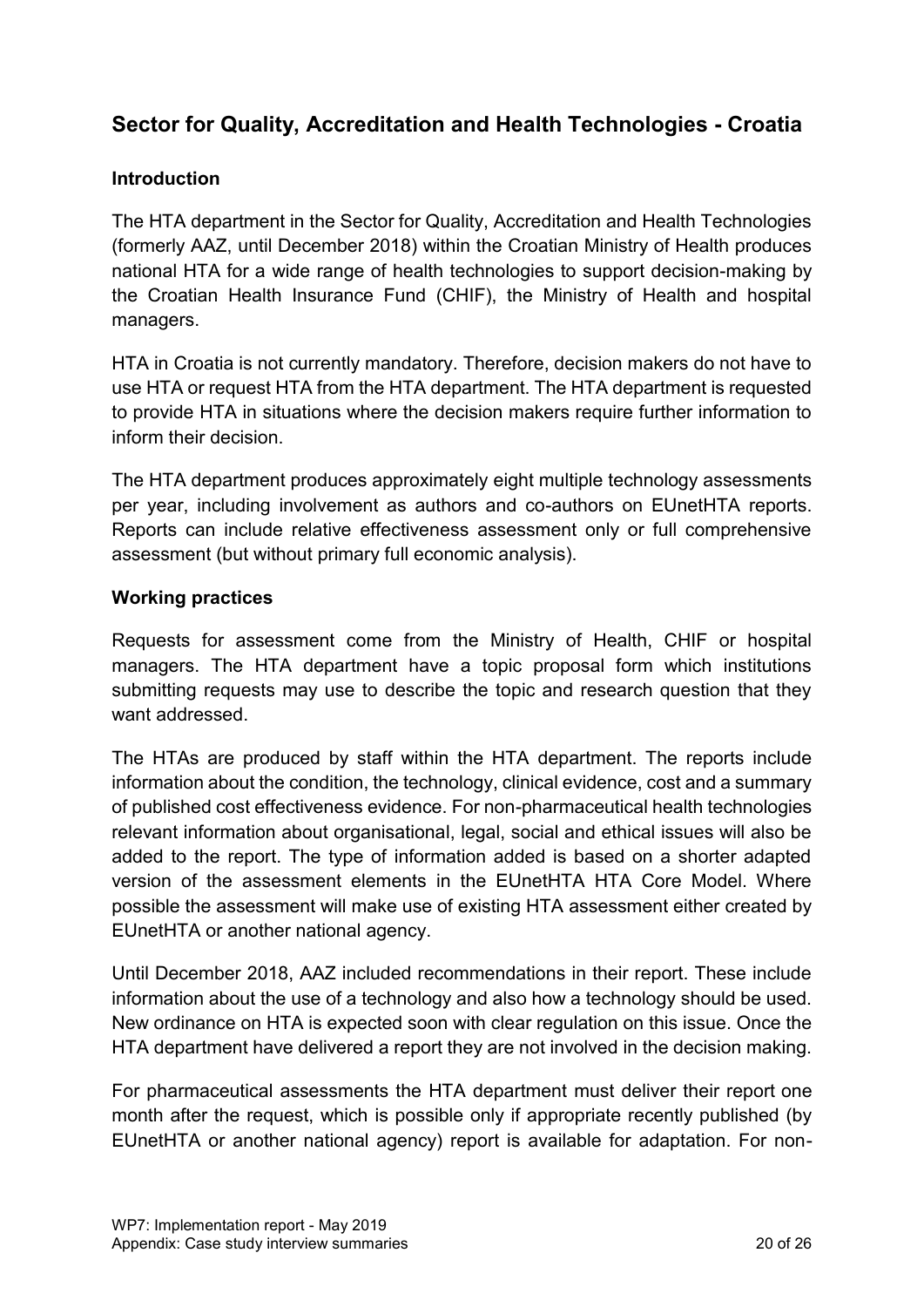# <span id="page-19-0"></span>**Sector for Quality, Accreditation and Health Technologies - Croatia**

#### **Introduction**

The HTA department in the Sector for Quality, Accreditation and Health Technologies (formerly AAZ, until December 2018) within the Croatian Ministry of Health produces national HTA for a wide range of health technologies to support decision-making by the Croatian Health Insurance Fund (CHIF), the Ministry of Health and hospital managers.

HTA in Croatia is not currently mandatory. Therefore, decision makers do not have to use HTA or request HTA from the HTA department. The HTA department is requested to provide HTA in situations where the decision makers require further information to inform their decision.

The HTA department produces approximately eight multiple technology assessments per year, including involvement as authors and co-authors on EUnetHTA reports. Reports can include relative effectiveness assessment only or full comprehensive assessment (but without primary full economic analysis).

#### **Working practices**

Requests for assessment come from the Ministry of Health, CHIF or hospital managers. The HTA department have a topic proposal form which institutions submitting requests may use to describe the topic and research question that they want addressed.

The HTAs are produced by staff within the HTA department. The reports include information about the condition, the technology, clinical evidence, cost and a summary of published cost effectiveness evidence. For non-pharmaceutical health technologies relevant information about organisational, legal, social and ethical issues will also be added to the report. The type of information added is based on a shorter adapted version of the assessment elements in the EUnetHTA HTA Core Model. Where possible the assessment will make use of existing HTA assessment either created by EUnetHTA or another national agency.

Until December 2018, AAZ included recommendations in their report. These include information about the use of a technology and also how a technology should be used. New ordinance on HTA is expected soon with clear regulation on this issue. Once the HTA department have delivered a report they are not involved in the decision making.

For pharmaceutical assessments the HTA department must deliver their report one month after the request, which is possible only if appropriate recently published (by EUnetHTA or another national agency) report is available for adaptation. For non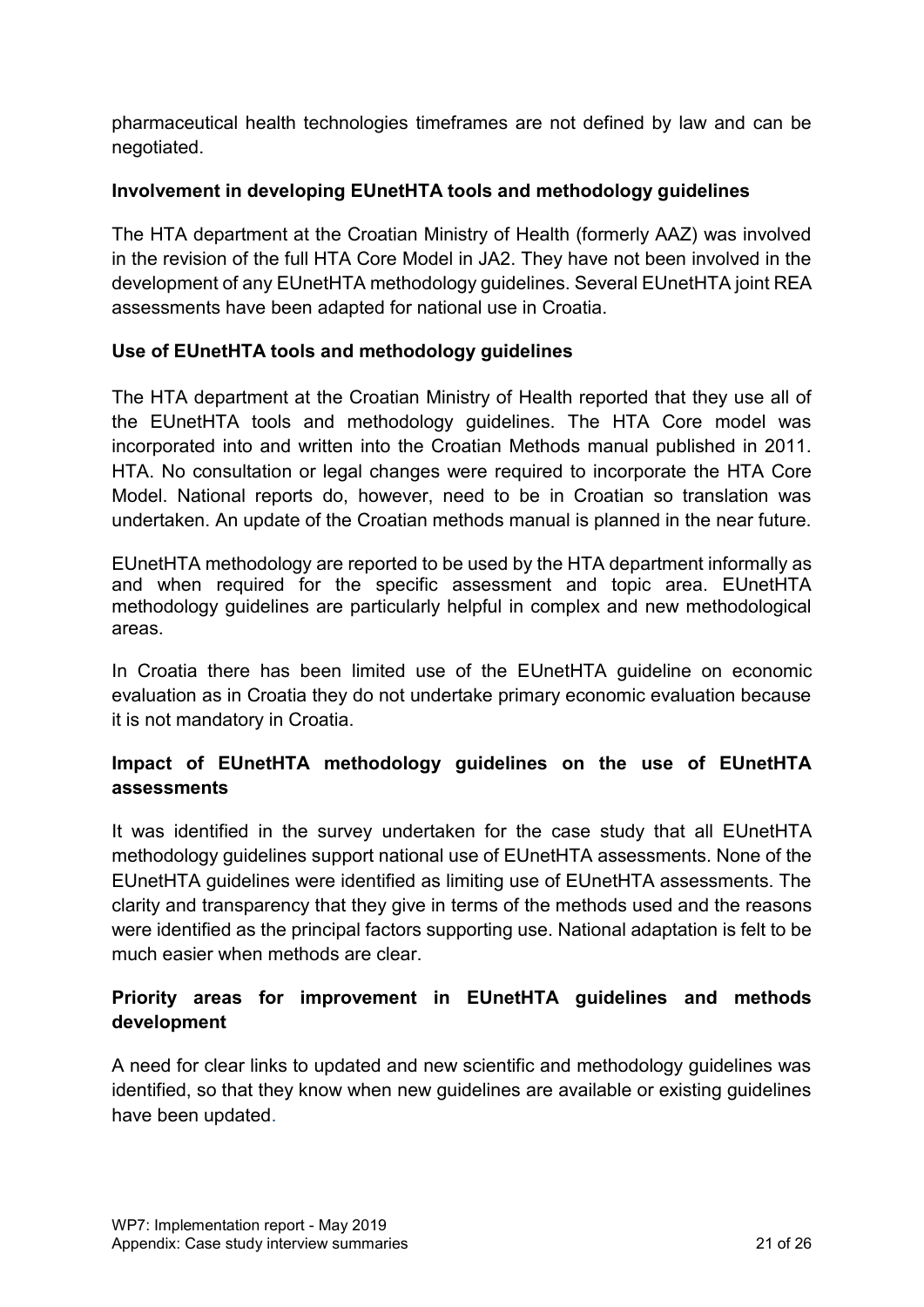pharmaceutical health technologies timeframes are not defined by law and can be negotiated.

## **Involvement in developing EUnetHTA tools and methodology guidelines**

The HTA department at the Croatian Ministry of Health (formerly AAZ) was involved in the revision of the full HTA Core Model in JA2. They have not been involved in the development of any EUnetHTA methodology guidelines. Several EUnetHTA joint REA assessments have been adapted for national use in Croatia.

## **Use of EUnetHTA tools and methodology guidelines**

The HTA department at the Croatian Ministry of Health reported that they use all of the EUnetHTA tools and methodology guidelines. The HTA Core model was incorporated into and written into the Croatian Methods manual published in 2011. HTA. No consultation or legal changes were required to incorporate the HTA Core Model. National reports do, however, need to be in Croatian so translation was undertaken. An update of the Croatian methods manual is planned in the near future.

EUnetHTA methodology are reported to be used by the HTA department informally as and when required for the specific assessment and topic area. EUnetHTA methodology guidelines are particularly helpful in complex and new methodological areas.

In Croatia there has been limited use of the EUnetHTA guideline on economic evaluation as in Croatia they do not undertake primary economic evaluation because it is not mandatory in Croatia.

# **Impact of EUnetHTA methodology guidelines on the use of EUnetHTA assessments**

It was identified in the survey undertaken for the case study that all EUnetHTA methodology guidelines support national use of EUnetHTA assessments. None of the EUnetHTA guidelines were identified as limiting use of EUnetHTA assessments. The clarity and transparency that they give in terms of the methods used and the reasons were identified as the principal factors supporting use. National adaptation is felt to be much easier when methods are clear.

# **Priority areas for improvement in EUnetHTA guidelines and methods development**

A need for clear links to updated and new scientific and methodology guidelines was identified, so that they know when new guidelines are available or existing guidelines have been updated.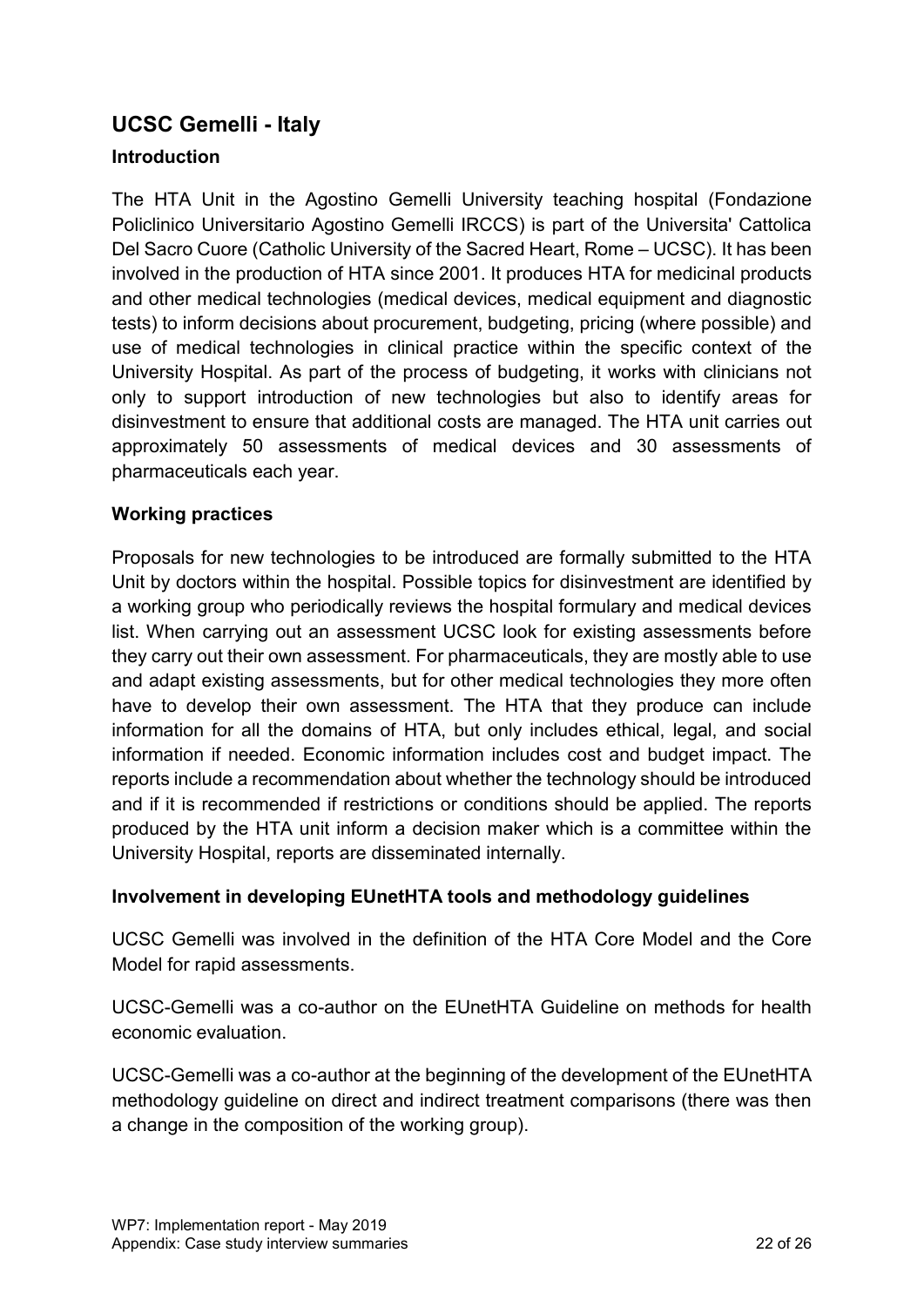# <span id="page-21-0"></span>**UCSC Gemelli - Italy**

## **Introduction**

The HTA Unit in the Agostino Gemelli University teaching hospital (Fondazione Policlinico Universitario Agostino Gemelli IRCCS) is part of the Universita' Cattolica Del Sacro Cuore (Catholic University of the Sacred Heart, Rome – UCSC). It has been involved in the production of HTA since 2001. It produces HTA for medicinal products and other medical technologies (medical devices, medical equipment and diagnostic tests) to inform decisions about procurement, budgeting, pricing (where possible) and use of medical technologies in clinical practice within the specific context of the University Hospital. As part of the process of budgeting, it works with clinicians not only to support introduction of new technologies but also to identify areas for disinvestment to ensure that additional costs are managed. The HTA unit carries out approximately 50 assessments of medical devices and 30 assessments of pharmaceuticals each year.

## **Working practices**

Proposals for new technologies to be introduced are formally submitted to the HTA Unit by doctors within the hospital. Possible topics for disinvestment are identified by a working group who periodically reviews the hospital formulary and medical devices list. When carrying out an assessment UCSC look for existing assessments before they carry out their own assessment. For pharmaceuticals, they are mostly able to use and adapt existing assessments, but for other medical technologies they more often have to develop their own assessment. The HTA that they produce can include information for all the domains of HTA, but only includes ethical, legal, and social information if needed. Economic information includes cost and budget impact. The reports include a recommendation about whether the technology should be introduced and if it is recommended if restrictions or conditions should be applied. The reports produced by the HTA unit inform a decision maker which is a committee within the University Hospital, reports are disseminated internally.

#### **Involvement in developing EUnetHTA tools and methodology guidelines**

UCSC Gemelli was involved in the definition of the HTA Core Model and the Core Model for rapid assessments.

UCSC-Gemelli was a co-author on the EUnetHTA Guideline on methods for health economic evaluation.

UCSC-Gemelli was a co-author at the beginning of the development of the EUnetHTA methodology guideline on direct and indirect treatment comparisons (there was then a change in the composition of the working group).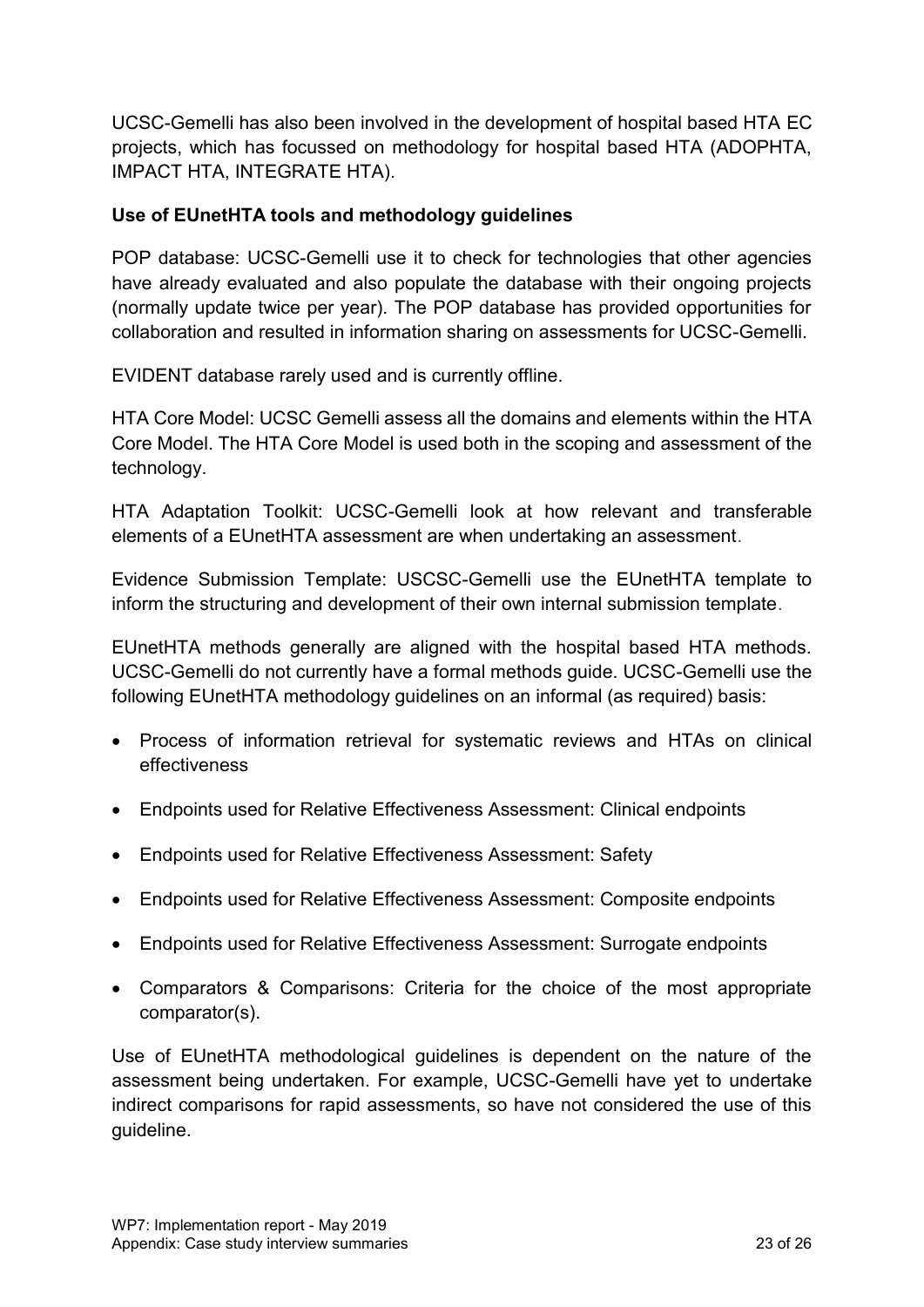UCSC-Gemelli has also been involved in the development of hospital based HTA EC projects, which has focussed on methodology for hospital based HTA (ADOPHTA, IMPACT HTA, INTEGRATE HTA).

#### **Use of EUnetHTA tools and methodology guidelines**

POP database: UCSC-Gemelli use it to check for technologies that other agencies have already evaluated and also populate the database with their ongoing projects (normally update twice per year). The POP database has provided opportunities for collaboration and resulted in information sharing on assessments for UCSC-Gemelli.

EVIDENT database rarely used and is currently offline.

HTA Core Model: UCSC Gemelli assess all the domains and elements within the HTA Core Model. The HTA Core Model is used both in the scoping and assessment of the technology.

HTA Adaptation Toolkit: UCSC-Gemelli look at how relevant and transferable elements of a EUnetHTA assessment are when undertaking an assessment.

Evidence Submission Template: USCSC-Gemelli use the EUnetHTA template to inform the structuring and development of their own internal submission template.

EUnetHTA methods generally are aligned with the hospital based HTA methods. UCSC-Gemelli do not currently have a formal methods guide. UCSC-Gemelli use the following EUnetHTA methodology guidelines on an informal (as required) basis:

- Process of information retrieval for systematic reviews and HTAs on clinical effectiveness
- Endpoints used for Relative Effectiveness Assessment: Clinical endpoints
- Endpoints used for Relative Effectiveness Assessment: Safety
- Endpoints used for Relative Effectiveness Assessment: Composite endpoints
- Endpoints used for Relative Effectiveness Assessment: Surrogate endpoints
- Comparators & Comparisons: Criteria for the choice of the most appropriate comparator(s).

Use of EUnetHTA methodological guidelines is dependent on the nature of the assessment being undertaken. For example, UCSC-Gemelli have yet to undertake indirect comparisons for rapid assessments, so have not considered the use of this guideline.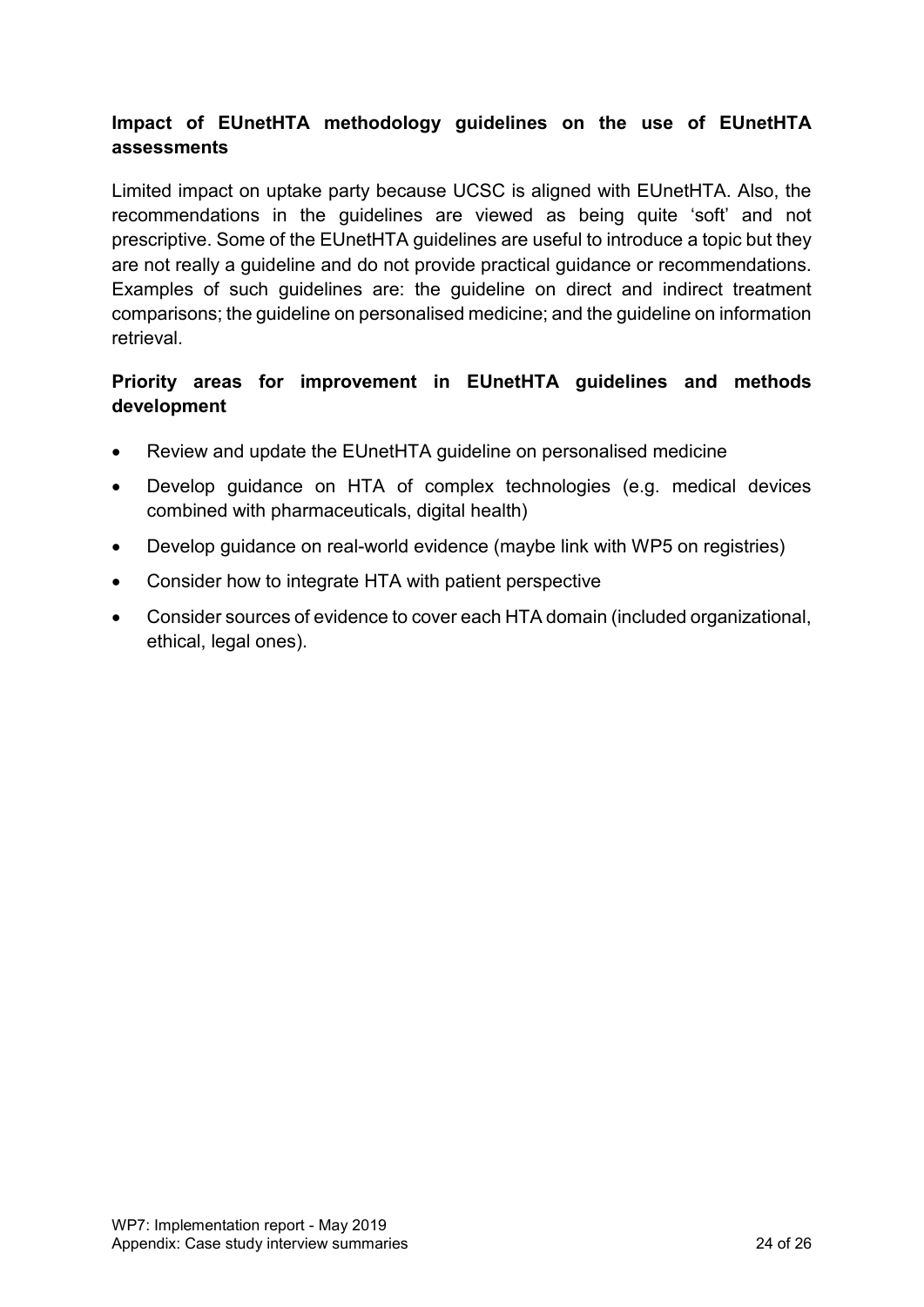# **Impact of EUnetHTA methodology guidelines on the use of EUnetHTA assessments**

Limited impact on uptake party because UCSC is aligned with EUnetHTA. Also, the recommendations in the guidelines are viewed as being quite 'soft' and not prescriptive. Some of the EUnetHTA guidelines are useful to introduce a topic but they are not really a guideline and do not provide practical guidance or recommendations. Examples of such guidelines are: the guideline on direct and indirect treatment comparisons; the guideline on personalised medicine; and the guideline on information retrieval.

## **Priority areas for improvement in EUnetHTA guidelines and methods development**

- Review and update the EUnetHTA guideline on personalised medicine
- Develop guidance on HTA of complex technologies (e.g. medical devices combined with pharmaceuticals, digital health)
- Develop guidance on real-world evidence (maybe link with WP5 on registries)
- Consider how to integrate HTA with patient perspective
- Consider sources of evidence to cover each HTA domain (included organizational, ethical, legal ones).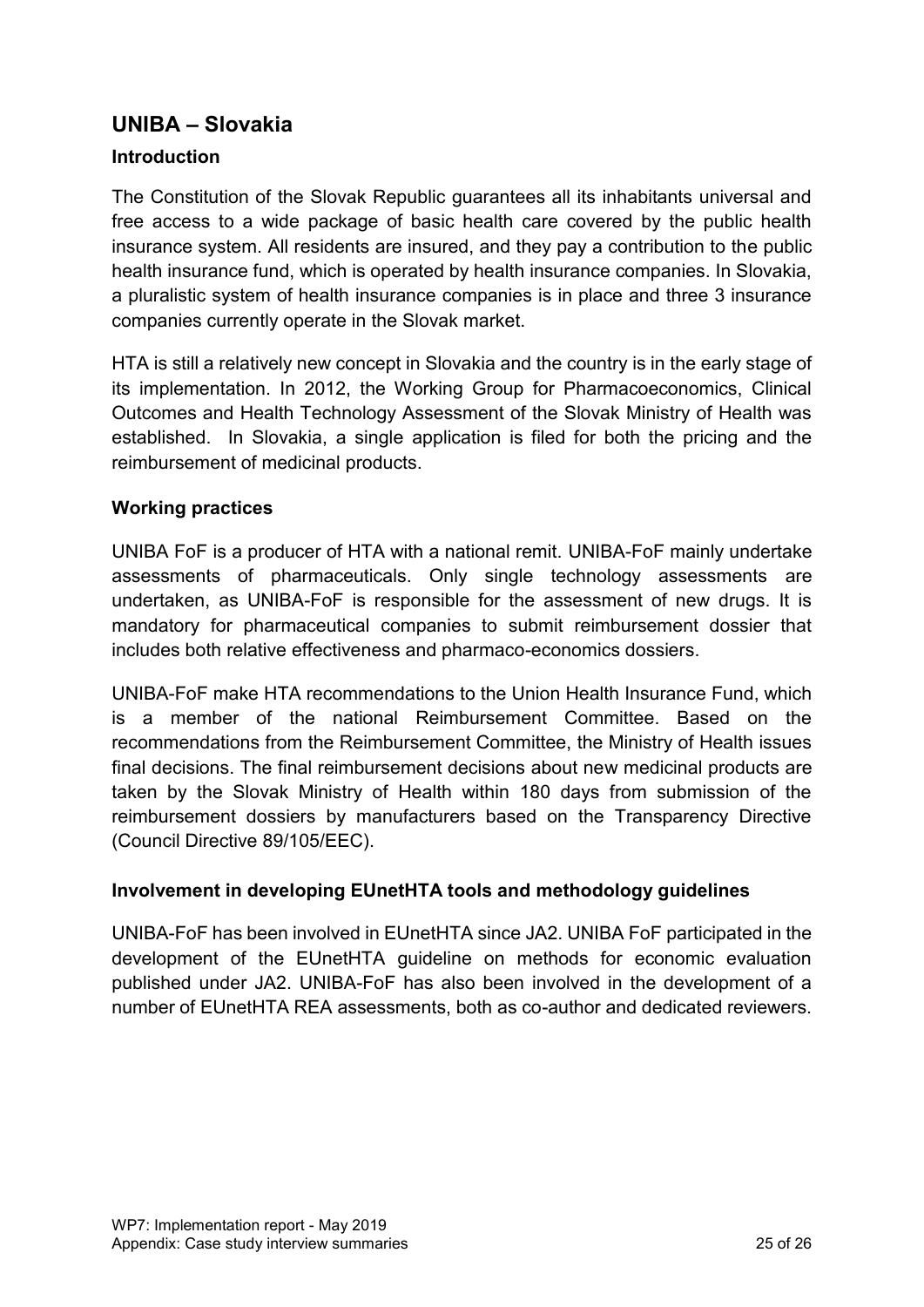# <span id="page-24-0"></span>**UNIBA – Slovakia**

# **Introduction**

The Constitution of the Slovak Republic guarantees all its inhabitants universal and free access to a wide package of basic health care covered by the public health insurance system. All residents are insured, and they pay a contribution to the public health insurance fund, which is operated by health insurance companies. In Slovakia, a pluralistic system of health insurance companies is in place and three 3 insurance companies currently operate in the Slovak market.

HTA is still a relatively new concept in Slovakia and the country is in the early stage of its implementation. In 2012, the Working Group for Pharmacoeconomics, Clinical Outcomes and Health Technology Assessment of the Slovak Ministry of Health was established. In Slovakia, a single application is filed for both the pricing and the reimbursement of medicinal products.

#### **Working practices**

UNIBA FoF is a producer of HTA with a national remit. UNIBA-FoF mainly undertake assessments of pharmaceuticals. Only single technology assessments are undertaken, as UNIBA-FoF is responsible for the assessment of new drugs. It is mandatory for pharmaceutical companies to submit reimbursement dossier that includes both relative effectiveness and pharmaco-economics dossiers.

UNIBA-FoF make HTA recommendations to the Union Health Insurance Fund, which is a member of the national Reimbursement Committee. Based on the recommendations from the Reimbursement Committee, the Ministry of Health issues final decisions. The final reimbursement decisions about new medicinal products are taken by the Slovak Ministry of Health within 180 days from submission of the reimbursement dossiers by manufacturers based on the Transparency Directive (Council Directive 89/105/EEC).

#### **Involvement in developing EUnetHTA tools and methodology guidelines**

UNIBA-FoF has been involved in EUnetHTA since JA2. UNIBA FoF participated in the development of the EUnetHTA guideline on methods for economic evaluation published under JA2. UNIBA-FoF has also been involved in the development of a number of EUnetHTA REA assessments, both as co-author and dedicated reviewers.